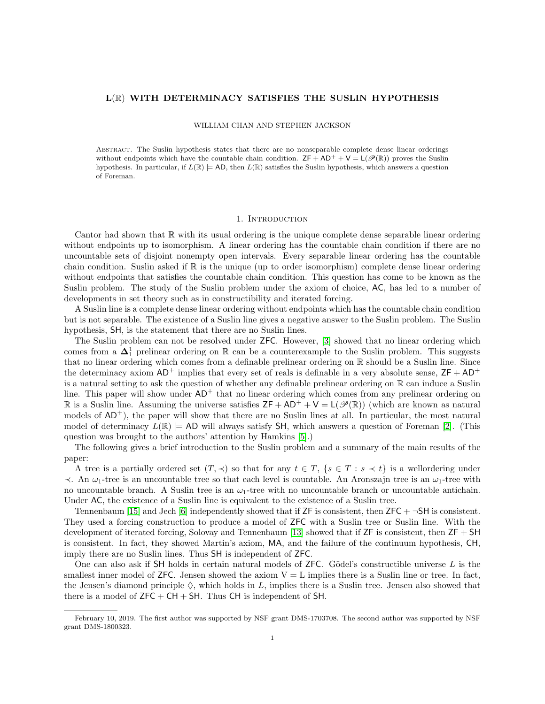## L(R) WITH DETERMINACY SATISFIES THE SUSLIN HYPOTHESIS

#### WILLIAM CHAN AND STEPHEN JACKSON

Abstract. The Suslin hypothesis states that there are no nonseparable complete dense linear orderings without endpoints which have the countable chain condition.  $ZF + AD^+ + V = L(\mathcal{P}(\mathbb{R}))$  proves the Suslin hypothesis. In particular, if  $L(\mathbb{R}) \models \text{AD}$ , then  $L(\mathbb{R})$  satisfies the Suslin hypothesis, which answers a question of Foreman.

# 1. INTRODUCTION

Cantor had shown that  $\mathbb R$  with its usual ordering is the unique complete dense separable linear ordering without endpoints up to isomorphism. A linear ordering has the countable chain condition if there are no uncountable sets of disjoint nonempty open intervals. Every separable linear ordering has the countable chain condition. Suslin asked if  $\mathbb R$  is the unique (up to order isomorphism) complete dense linear ordering without endpoints that satisfies the countable chain condition. This question has come to be known as the Suslin problem. The study of the Suslin problem under the axiom of choice, AC, has led to a number of developments in set theory such as in constructibility and iterated forcing.

A Suslin line is a complete dense linear ordering without endpoints which has the countable chain condition but is not separable. The existence of a Suslin line gives a negative answer to the Suslin problem. The Suslin hypothesis, SH, is the statement that there are no Suslin lines.

The Suslin problem can not be resolved under ZFC. However, [\[3\]](#page-14-0) showed that no linear ordering which comes from a  $\Delta_1^1$  prelinear ordering on R can be a counterexample to the Suslin problem. This suggests that no linear ordering which comes from a definable prelinear ordering on R should be a Suslin line. Since the determinacy axiom  $AD^+$  implies that every set of reals is definable in a very absolute sense,  $ZF + AD^+$ is a natural setting to ask the question of whether any definable prelinear ordering on  $\mathbb R$  can induce a Suslin line. This paper will show under  $AD^+$  that no linear ordering which comes from any prelinear ordering on R is a Suslin line. Assuming the universe satisfies  $ZF + AD^+ + V = L(\mathscr{P}(\mathbb{R}))$  (which are known as natural models of  $AD^+$ ), the paper will show that there are no Suslin lines at all. In particular, the most natural model of determinacy  $L(\mathbb{R}) \models AD$  will always satisfy SH, which answers a question of Foreman [\[2\]](#page-14-1). (This question was brought to the authors' attention by Hamkins [\[5\]](#page-14-2).)

The following gives a brief introduction to the Suslin problem and a summary of the main results of the paper:

A tree is a partially ordered set  $(T, \prec)$  so that for any  $t \in T$ ,  $\{s \in T : s \prec t\}$  is a wellordering under  $\prec$ . An  $\omega_1$ -tree is an uncountable tree so that each level is countable. An Aronszajn tree is an  $\omega_1$ -tree with no uncountable branch. A Suslin tree is an  $\omega_1$ -tree with no uncountable branch or uncountable antichain. Under  $AC$ , the existence of a Suslin line is equivalent to the existence of a Suslin tree.

Tennenbaum [\[15\]](#page-15-0) and Jech [\[6\]](#page-14-3) independently showed that if  $ZF$  is consistent, then  $ZFC + \neg SH$  is consistent. They used a forcing construction to produce a model of ZFC with a Suslin tree or Suslin line. With the development of iterated forcing, Solovay and Tennenbaum [\[13\]](#page-14-4) showed that if ZF is consistent, then ZF + SH is consistent. In fact, they showed Martin's axiom, MA, and the failure of the continuum hypothesis, CH, imply there are no Suslin lines. Thus SH is independent of ZFC.

One can also ask if SH holds in certain natural models of  $ZFC$ . Gödel's constructible universe L is the smallest inner model of  $ZFC$ . Jensen showed the axiom  $V = L$  implies there is a Suslin line or tree. In fact, the Jensen's diamond principle  $\Diamond$ , which holds in L, implies there is a Suslin tree. Jensen also showed that there is a model of  $ZFC + CH + SH$ . Thus CH is independent of SH.

February 10, 2019. The first author was supported by NSF grant DMS-1703708. The second author was supported by NSF grant DMS-1800323.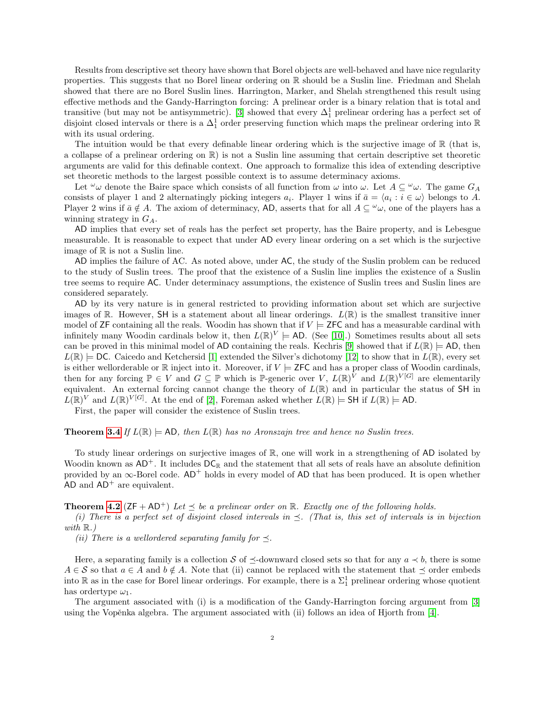Results from descriptive set theory have shown that Borel objects are well-behaved and have nice regularity properties. This suggests that no Borel linear ordering on R should be a Suslin line. Friedman and Shelah showed that there are no Borel Suslin lines. Harrington, Marker, and Shelah strengthened this result using effective methods and the Gandy-Harrington forcing: A prelinear order is a binary relation that is total and transitive (but may not be antisymmetric). [\[3\]](#page-14-0) showed that every  $\Delta_1^1$  prelinear ordering has a perfect set of disjoint closed intervals or there is a  $\Delta_1^1$  order preserving function which maps the prelinear ordering into R with its usual ordering.

The intuition would be that every definable linear ordering which is the surjective image of R (that is, a collapse of a prelinear ordering on R) is not a Suslin line assuming that certain descriptive set theoretic arguments are valid for this definable context. One approach to formalize this idea of extending descriptive set theoretic methods to the largest possible context is to assume determinacy axioms.

Let  $\omega_{\omega}$  denote the Baire space which consists of all function from  $\omega$  into  $\omega$ . Let  $A \subseteq \omega_{\omega}$ . The game  $G_A$ consists of player 1 and 2 alternatingly picking integers  $a_i$ . Player 1 wins if  $\bar{a} = \langle a_i : i \in \omega \rangle$  belongs to A. Player 2 wins if  $\bar{a} \notin A$ . The axiom of determinacy, AD, asserts that for all  $A \subseteq \omega$ , one of the players has a winning strategy in  $G_A$ .

AD implies that every set of reals has the perfect set property, has the Baire property, and is Lebesgue measurable. It is reasonable to expect that under AD every linear ordering on a set which is the surjective image of R is not a Suslin line.

AD implies the failure of AC. As noted above, under AC, the study of the Suslin problem can be reduced to the study of Suslin trees. The proof that the existence of a Suslin line implies the existence of a Suslin tree seems to require AC. Under determinacy assumptions, the existence of Suslin trees and Suslin lines are considered separately.

AD by its very nature is in general restricted to providing information about set which are surjective images of R. However, SH is a statement about all linear orderings.  $L(\mathbb{R})$  is the smallest transitive inner model of ZF containing all the reals. Woodin has shown that if  $V \models$  ZFC and has a measurable cardinal with infinitely many Woodin cardinals below it, then  $L(\mathbb{R})^V \models$  AD. (See [\[10\]](#page-14-5).) Sometimes results about all sets can be proved in this minimal model of AD containing the reals. Kechris [\[9\]](#page-14-6) showed that if  $L(\mathbb{R}) \models$  AD, then  $L(\mathbb{R}) \models$  DC. Caicedo and Ketchersid [\[1\]](#page-14-7) extended the Silver's dichotomy [\[12\]](#page-14-8) to show that in  $L(\mathbb{R})$ , every set is either wellorderable or  $\mathbb R$  inject into it. Moreover, if  $V \models$  ZFC and has a proper class of Woodin cardinals. then for any forcing  $\mathbb{P} \in V$  and  $G \subseteq \mathbb{P}$  which is  $\mathbb{P}$ -generic over  $V, L(\mathbb{R})^V$  and  $L(\mathbb{R})^{|V|}$  are elementarily equivalent. An external forcing cannot change the theory of  $L(\mathbb{R})$  and in particular the status of SH in  $L(\mathbb{R})^V$  and  $L(\mathbb{R})^V$ <sup>[G]</sup>. At the end of [\[2\]](#page-14-1), Foreman asked whether  $L(\mathbb{R}) \models$  SH if  $L(\mathbb{R}) \models$  AD.

First, the paper will consider the existence of Suslin trees.

## **Theorem [3.4](#page-5-0)** If  $L(\mathbb{R}) \models$  AD, then  $L(\mathbb{R})$  has no Aronszajn tree and hence no Suslin trees.

To study linear orderings on surjective images of R, one will work in a strengthening of AD isolated by Woodin known as  $AD^+$ . It includes  $DC_R$  and the statement that all sets of reals have an absolute definition provided by an  $\infty$ -Borel code. AD<sup>+</sup> holds in every model of AD that has been produced. It is open whether  $AD$  and  $AD^+$  are equivalent.

### **Theorem [4.2](#page-5-1)** ( $ZF + AD^+$ ) Let  $\prec$  be a prelinear order on R. Exactly one of the following holds.

(i) There is a perfect set of disjoint closed intervals in  $\preceq$ . (That is, this set of intervals is in bijection with  $\mathbb{R}$ .)

(ii) There is a wellordered separating family for  $\preceq$ .

Here, a separating family is a collection S of  $\preceq$ -downward closed sets so that for any  $a \prec b$ , there is some  $A \in \mathcal{S}$  so that  $a \in A$  and  $b \notin A$ . Note that (ii) cannot be replaced with the statement that  $\preceq$  order embeds into R as in the case for Borel linear orderings. For example, there is a  $\Sigma_1^1$  prelinear ordering whose quotient has order type  $\omega_1$ .

The argument associated with (i) is a modification of the Gandy-Harrington forcing argument from [\[3\]](#page-14-0) using the Vopěnka algebra. The argument associated with (ii) follows an idea of Hjorth from  $[4]$ .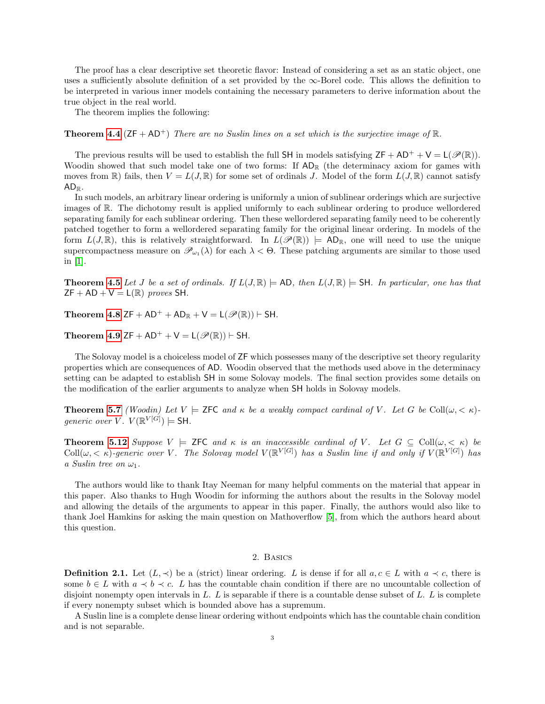The proof has a clear descriptive set theoretic flavor: Instead of considering a set as an static object, one uses a sufficiently absolute definition of a set provided by the  $\infty$ -Borel code. This allows the definition to be interpreted in various inner models containing the necessary parameters to derive information about the true object in the real world.

The theorem implies the following:

**Theorem [4.4](#page-7-0)** ( $ZF + AD^+$ ) There are no Suslin lines on a set which is the surjective image of  $\mathbb{R}$ .

The previous results will be used to establish the full SH in models satisfying  $ZF + AD^+ + V = L(\mathscr{P}(\mathbb{R}))$ . Woodin showed that such model take one of two forms: If  $AD_R$  (the determinacy axiom for games with moves from  $\mathbb{R}$ ) fails, then  $V = L(J, \mathbb{R})$  for some set of ordinals J. Model of the form  $L(J, \mathbb{R})$  cannot satisfy  $AD_{\mathbb{R}}$ .

In such models, an arbitrary linear ordering is uniformly a union of sublinear orderings which are surjective images of R. The dichotomy result is applied uniformly to each sublinear ordering to produce wellordered separating family for each sublinear ordering. Then these wellordered separating family need to be coherently patched together to form a wellordered separating family for the original linear ordering. In models of the form  $L(J, \mathbb{R})$ , this is relatively straightforward. In  $L(\mathscr{P}(\mathbb{R})) \models AD_{\mathbb{R}}$ , one will need to use the unique supercompactness measure on  $\mathscr{P}_{\omega_1}(\lambda)$  for each  $\lambda < \Theta$ . These patching arguments are similar to those used in [\[1\]](#page-14-7).

**Theorem [4.5](#page-7-1)** Let J be a set of ordinals. If  $L(J, \mathbb{R}) \models AD$ , then  $L(J, \mathbb{R}) \models SH$ . In particular, one has that  $ZF + AD + V = L(\mathbb{R})$  proves SH.

Theorem [4.8](#page-8-0) ZF + AD<sup>+</sup> + AD<sub>R</sub> + V = L( $\mathcal{P}(\mathbb{R})$ ) + SH.

Theorem [4.9](#page-9-0) ZF + AD<sup>+</sup> + V = L( $\mathcal{P}(\mathbb{R})$ ) + SH.

The Solovay model is a choiceless model of ZF which possesses many of the descriptive set theory regularity properties which are consequences of AD. Woodin observed that the methods used above in the determinacy setting can be adapted to establish SH in some Solovay models. The final section provides some details on the modification of the earlier arguments to analyze when SH holds in Solovay models.

**Theorem [5.7](#page-13-0)** (Woodin) Let  $V \models$  ZFC and  $\kappa$  be a weakly compact cardinal of V. Let G be Coll $(\omega, \langle \kappa \rangle)$ generic over V.  $V(\mathbb{R}^{V[G]}) \models$  SH.

**Theorem [5.12](#page-14-10)** Suppose  $V \models$  ZFC and  $\kappa$  is an inaccessible cardinal of V. Let  $G \subseteq \text{Coll}(\omega, < \kappa)$  be Coll $(\omega, < \kappa)$ -generic over V. The Solovay model  $V(\mathbb{R}^{V[G]})$  has a Suslin line if and only if  $V(\mathbb{R}^{V[G]})$  has a Suslin tree on  $\omega_1$ .

The authors would like to thank Itay Neeman for many helpful comments on the material that appear in this paper. Also thanks to Hugh Woodin for informing the authors about the results in the Solovay model and allowing the details of the arguments to appear in this paper. Finally, the authors would also like to thank Joel Hamkins for asking the main question on Mathoverflow [\[5\]](#page-14-2), from which the authors heard about this question.

# 2. Basics

**Definition 2.1.** Let  $(L, \prec)$  be a (strict) linear ordering. L is dense if for all  $a, c \in L$  with  $a \prec c$ , there is some  $b \in L$  with  $a \prec b \prec c$ . L has the countable chain condition if there are no uncountable collection of disjoint nonempty open intervals in  $L$ .  $L$  is separable if there is a countable dense subset of  $L$ .  $L$  is complete if every nonempty subset which is bounded above has a supremum.

A Suslin line is a complete dense linear ordering without endpoints which has the countable chain condition and is not separable.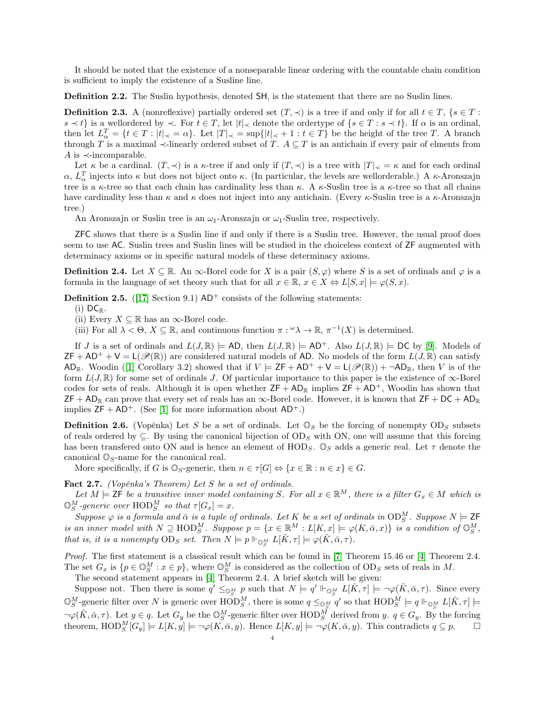It should be noted that the existence of a nonseparable linear ordering with the countable chain condition is sufficient to imply the existence of a Susline line.

Definition 2.2. The Suslin hypothesis, denoted SH, is the statement that there are no Suslin lines.

**Definition 2.3.** A (nonreflexive) partially ordered set  $(T, \prec)$  is a tree if and only if for all  $t \in T$ ,  $\{s \in T :$  $s \prec t$  is a wellordered by  $\prec$ . For  $t \in T$ , let  $|t|_{\prec}$  denote the ordertype of  $\{s \in T : s \prec t\}$ . If  $\alpha$  is an ordinal, then let  $L^T_\alpha = \{t \in T : |t|_{\prec} = \alpha\}$ . Let  $|T|_{\prec} = \sup\{|t|_{\prec} + 1 : t \in T\}$  be the height of the tree T. A branch through T is a maximal  $\prec$ -linearly ordered subset of T.  $A \subseteq T$  is an antichain if every pair of elments from A is  $\prec$ -incomparable.

Let  $\kappa$  be a cardinal.  $(T, \prec)$  is a  $\kappa$ -tree if and only if  $(T, \prec)$  is a tree with  $|T|_{\prec} = \kappa$  and for each ordinal  $\alpha$ ,  $L_{\alpha}^{T}$  injects into  $\kappa$  but does not biject onto  $\kappa$ . (In particular, the levels are wellorderable.) A  $\kappa$ -Aronszajn tree is a  $\kappa$ -tree so that each chain has cardinality less than  $\kappa$ . A  $\kappa$ -Suslin tree is a  $\kappa$ -tree so that all chains have cardinality less than  $\kappa$  and  $\kappa$  does not inject into any antichain. (Every  $\kappa$ -Suslin tree is a  $\kappa$ -Aronszajn tree.)

An Aronszajn or Suslin tree is an  $\omega_1$ -Aronszajn or  $\omega_1$ -Suslin tree, respectively.

ZFC shows that there is a Suslin line if and only if there is a Suslin tree. However, the usual proof does seem to use AC. Suslin trees and Suslin lines will be studied in the choiceless context of ZF augmented with determinacy axioms or in specific natural models of these determinacy axioms.

**Definition 2.4.** Let  $X \subseteq \mathbb{R}$ . An  $\infty$ -Borel code for X is a pair  $(S, \varphi)$  where S is a set of ordinals and  $\varphi$  is a formula in the language of set theory such that for all  $x \in \mathbb{R}$ ,  $x \in X \Leftrightarrow L[S, x] \models \varphi(S, x)$ .

<span id="page-3-1"></span>**Definition 2.5.** ([\[17\]](#page-15-1) Section 9.1)  $AD^+$  consists of the following statements:

(i)  $DC_{\mathbb{R}}$ .

(ii) Every  $X \subseteq \mathbb{R}$  has an  $\infty$ -Borel code.

(iii) For all  $\lambda < \Theta$ ,  $X \subseteq \mathbb{R}$ , and continuous function  $\pi : \omega \lambda \to \mathbb{R}$ ,  $\pi^{-1}(X)$  is determined.

If J is a set of ordinals and  $L(J, \mathbb{R}) \models AD$ , then  $L(J, \mathbb{R}) \models AD^+$ . Also  $L(J, \mathbb{R}) \models DC$  by [\[9\]](#page-14-6). Models of  $ZF + AD^+ + V = L(\mathscr{P}(\mathbb{R}))$  are considered natural models of AD. No models of the form  $L(J, \mathbb{R})$  can satisfy AD<sub>R</sub>. Woodin ([\[1\]](#page-14-7) Corollary 3.2) showed that if  $V \models ZF + AD^+ + V = L(\mathscr{P}(\mathbb{R})) + \neg AD_{\mathbb{R}}$ , then V is of the form  $L(J, \mathbb{R})$  for some set of ordinals J. Of particular importance to this paper is the existence of  $\infty$ -Borel codes for sets of reals. Although it is open whether  $ZF + AD_R$  implies  $ZF + AD^+$ , Woodin has shown that ZF + AD<sub>R</sub> can prove that every set of reals has an  $\infty$ -Borel code. However, it is known that ZF + DC + AD<sub>R</sub> implies  $ZF + AD^+$ . (See [\[1\]](#page-14-7) for more information about  $AD^+$ .)

**Definition 2.6.** (Vopěnka) Let S be a set of ordinals. Let  $\mathbb{O}_S$  be the forcing of nonempty  $OD_S$  subsets of reals ordered by  $\subseteq$ . By using the canonical bijection of  $OD_S$  with ON, one will assume that this forcing has been transfered onto ON and is hence an element of  $HOD_S$ .  $\mathbb{O}_S$  adds a generic real. Let  $\tau$  denote the canonical  $\mathbb{O}_S$ -name for the canonical real.

More specifically, if G is  $\mathbb{O}_S$ -generic, then  $n \in \tau[G] \Leftrightarrow \{x \in \mathbb{R} : n \in x\} \in G$ .

<span id="page-3-0"></span>Fact 2.7. (Vopěnka's Theorem) Let  $S$  be a set of ordinals.

Let  $M \models$ **ZF** be a transitive inner model containing S. For all  $x \in \mathbb{R}^M$ , there is a filter  $G_x \in M$  which is  $\mathbb{O}_{S}^{M}$ -generic over  $\mathrm{HOD}_{S}^{M}$  so that  $\tau[G_{x}] = x$ .

Suppose  $\varphi$  is a formula and  $\bar{\alpha}$  is a tuple of ordinals. Let K be a set of ordinals in  $OD_S^M$ . Suppose  $N \models \mathsf{ZF}$ is an inner model with  $N \supseteq \text{HOD}_S^M$ . Suppose  $p = \{x \in \mathbb{R}^M : L[K, x] \models \varphi(K, \bar{\alpha}, x)\}$  is a condition of  $\mathbb{O}_S^M$ , that is, it is a nonempty  $OD_S$  set. Then  $N \models p \Vdash_{\mathbb{O}_S^M} L[\check{K}, \tau] \models \varphi(\check{K}, \bar{\alpha}, \tau)$ .

Proof. The first statement is a classical result which can be found in [\[7\]](#page-14-11) Theorem 15.46 or [\[4\]](#page-14-9) Theorem 2.4. The set  $G_x$  is  $\{p \in \mathbb{O}_S^M : x \in p\}$ , where  $\mathbb{O}_S^M$  is considered as the collection of  $OD_S$  sets of reals in M.

The second statement appears in [\[4\]](#page-14-9) Theorem 2.4. A brief sketch will be given:

Suppose not. Then there is some  $q' \leq_{\mathbb{O}_{S}^{M}} p$  such that  $N \models q' \Vdash_{\mathbb{O}_{S}^{M}} L[\check{K}, \tau] \models \neg \varphi(\check{K}, \bar{\alpha}, \tau)$ . Since every  $\mathbb{O}_{S}^{M}$ -generic filter over N is generic over  $\text{HOD}_{S}^{M}$ , there is some  $q \leq_{\mathbb{O}_{S}^{M}} q'$  so that  $\text{HOD}_{S}^{M} \models q \Vdash_{\mathbb{O}_{S}^{M}} L[\check{K}, \tau] \models$  $\neg\varphi(\check{K}, \bar{\alpha}, \tau)$ . Let  $y \in q$ . Let  $G_y$  be the  $\mathbb{O}_S^M$ -generic filter over  $\text{HOD}_S^{\tilde{M}}$  derived from y.  $q \in G_y$ . By the forcing theorem,  $\text{HOD}_S^M[G_y] \models L[K, y] \models \neg \varphi(K, \bar{\alpha}, y)$ . Hence  $L[K, y] \models \neg \varphi(K, \bar{\alpha}, y)$ . This contradicts  $q \subseteq p$ .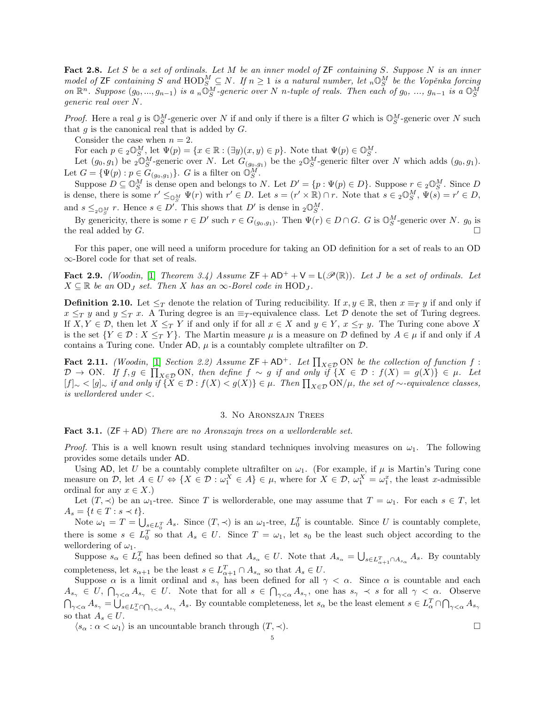<span id="page-4-1"></span>Fact 2.8. Let S be a set of ordinals. Let M be an inner model of ZF containing S. Suppose N is an inner model of  $\textsf{ZF}$  containing S and  $\text{HOD}_S^M \subseteq N$ . If  $n \geq 1$  is a natural number, let  $_n\mathbb{O}_S^M$  be the Vopěnka forcing on  $\mathbb{R}^n$ . Suppose  $(g_0, ..., g_{n-1})$  is a  $_n \tilde{\mathbb{O}}_S^M$ -generic over N n-tuple of reals. Then each of  $g_0, ..., g_{n-1}$  is a  $\mathbb{O}_S^M$ generic real over N.

*Proof.* Here a real g is  $\mathbb{O}_{S}^{M}$ -generic over N if and only if there is a filter G which is  $\mathbb{O}_{S}^{M}$ -generic over N such that  $g$  is the canonical real that is added by  $G$ .

Consider the case when  $n = 2$ .

For each  $p \in {}_{2}\mathbb{O}_{S}^{M}$ , let  $\Psi(p) = \{x \in \mathbb{R} : (\exists y)(x, y) \in p\}$ . Note that  $\Psi(p) \in \mathbb{O}_{S}^{M}$ .

Let  $(g_0, g_1)$  be  $2\widehat{\mathbb{O}}_S^M$ -generic over N. Let  $G_{(g_0,g_1)}$  be the  $2\widehat{\mathbb{O}}_S^M$ -generic filter over N which adds  $(g_0, g_1)$ . Let  $G = {\Psi(p) : p \in G_{(g_0, g_1)}}$ . G is a filter on  $\overline{\mathbb{O}_S^M}$ .

Suppose  $D \subseteq \mathbb{O}_{S}^{M}$  is dense open and belongs to N. Let  $D' = \{p : \Psi(p) \in D\}$ . Suppose  $r \in 2\mathbb{O}_{S}^{M}$ . Since D is dense, there is some  $r' \leq_{\mathbb{Q}_S^M} \Psi(r)$  with  $r' \in D$ . Let  $s = (r' \times \mathbb{R}) \cap r$ . Note that  $s \in {}_2\mathbb{O}_S^M$ ,  $\Psi(s) = r' \in D$ , and  $s \leq_{2 \mathbb{Q}_S^M} r$ . Hence  $s \in D'$ . This shows that  $D'$  is dense in  ${}_2\mathbb{O}_S^M$ .

By genericity, there is some  $r \in D'$  such  $r \in G_{(g_0,g_1)}$ . Then  $\Psi(r) \in D \cap G$ . G is  $\mathbb{O}_{S}^M$ -generic over N.  $g_0$  is the real added by  $G$ .

For this paper, one will need a uniform procedure for taking an OD definition for a set of reals to an OD ∞-Borel code for that set of reals.

<span id="page-4-2"></span>**Fact 2.9.** (Woodin, [\[1\]](#page-14-7) Theorem 3.4) Assume  $ZF + AD^+ + V = L(\mathcal{P}(\mathbb{R}))$ . Let J be a set of ordinals. Let  $X \subseteq \mathbb{R}$  be an OD<sub>J</sub> set. Then X has an  $\infty$ -Borel code in HOD<sub>J</sub>.

**Definition 2.10.** Let  $\leq_T$  denote the relation of Turing reducibility. If  $x, y \in \mathbb{R}$ , then  $x \equiv_T y$  if and only if  $x \leq_T y$  and  $y \leq_T x$ . A Turing degree is an  $\equiv_T$ -equivalence class. Let D denote the set of Turing degrees. If  $X, Y \in \mathcal{D}$ , then let  $X \leq_T Y$  if and only if for all  $x \in X$  and  $y \in Y$ ,  $x \leq_T y$ . The Turing cone above X is the set  ${Y \in \mathcal{D} : X \leq_T Y}$ . The Martin measure  $\mu$  is a measure on D defined by  $A \in \mu$  if and only if A contains a Turing cone. Under  $AD$ ,  $\mu$  is a countably complete ultrafilter on  $\mathcal{D}$ .

<span id="page-4-0"></span>Fact 2.11. (Woodin, [\[1\]](#page-14-7) Section 2.2) Assume  $ZF + AD^+$ . Let  $\prod_{X \in \mathcal{D}} ON$  be the collection of function f:  $\mathcal{D} \to \text{ON}.$  If  $f, g \in \prod_{X \in \mathcal{D}} \text{ON},$  then define  $f \sim g$  if and only if  $\{X \in \mathcal{D} : f(X) = g(X)\} \in \mu.$  Let  $[f]_{\sim}$  <  $[g]_{\sim}$  if and only if {X ∈ D :  $f(X) < g(X)$ } ∈  $\mu$ . Then  $\prod_{X \in \mathcal{D}} \text{ON}/\mu$ , the set of  $\sim$ -equivalence classes, is wellordered under <.

### 3. No Aronszajn Trees

<span id="page-4-3"></span>**Fact 3.1.** ( $ZF + AD$ ) There are no Aronszajn trees on a wellorderable set.

*Proof.* This is a well known result using standard techniques involving measures on  $\omega_1$ . The following provides some details under AD.

Using AD, let U be a countably complete ultrafilter on  $\omega_1$ . (For example, if  $\mu$  is Martin's Turing cone measure on D, let  $A \in U \Leftrightarrow \{X \in \mathcal{D} : \omega_1^X \in A\} \in \mu$ , where for  $X \in \mathcal{D}$ ,  $\omega_1^X = \omega_1^x$ , the least x-admissible ordinal for any  $x \in X$ .)

Let  $(T, \prec)$  be an  $\omega_1$ -tree. Since T is wellorderable, one may assume that  $T = \omega_1$ . For each  $s \in T$ , let  $A_s = \{t \in T : s \prec t\}.$ 

Note  $\omega_1 = T = \bigcup_{s \in L_0^T} A_s$ . Since  $(T, \prec)$  is an  $\omega_1$ -tree,  $L_0^T$  is countable. Since U is countably complete, there is some  $s \in L_0^T$  so that  $A_s \in U$ . Since  $T = \omega_1$ , let  $s_0$  be the least such object according to the wellordering of  $\omega_1$ .

Suppose  $s_{\alpha} \in L_{\alpha}^{T}$  has been defined so that  $A_{s_{\alpha}} \in U$ . Note that  $A_{s_{\alpha}} = \bigcup_{s \in L_{\alpha+1}^{T} \cap A_{s_{\alpha}}} A_s$ . By countably completeness, let  $s_{\alpha+1}$  be the least  $s \in L_{\alpha+1}^T \cap A_{s_\alpha}$  so that  $A_s \in U$ .

Suppose  $\alpha$  is a limit ordinal and  $s_{\gamma}$  has been defined for all  $\gamma < \alpha$ . Since  $\alpha$  is countable and each  $A_{s_{\gamma}} \in U, \bigcap_{\gamma < \alpha} A_{s_{\gamma}} \in U.$  Note that for all  $s \in \bigcap_{\gamma < \alpha} A_{s_{\gamma}},$  one has  $s_{\gamma} \prec s$  for all  $\gamma < \alpha$ . Observe  $\bigcap_{\gamma<\alpha}A_{s_{\gamma}}=\bigcup_{s\in L_{\alpha}^{T}\cap\bigcap_{\gamma<\alpha}A_{s_{\gamma}}}A_{s}.$  By countable completeness, let  $s_{\alpha}$  be the least element  $s\in L_{\alpha}^{T}\cap\bigcap_{\gamma<\alpha}A_{s_{\gamma}}$ so that  $A_s \in U$ .

 $\langle s_{\alpha} : \alpha < \omega_1 \rangle$  is an uncountable branch through  $(T, \prec)$ .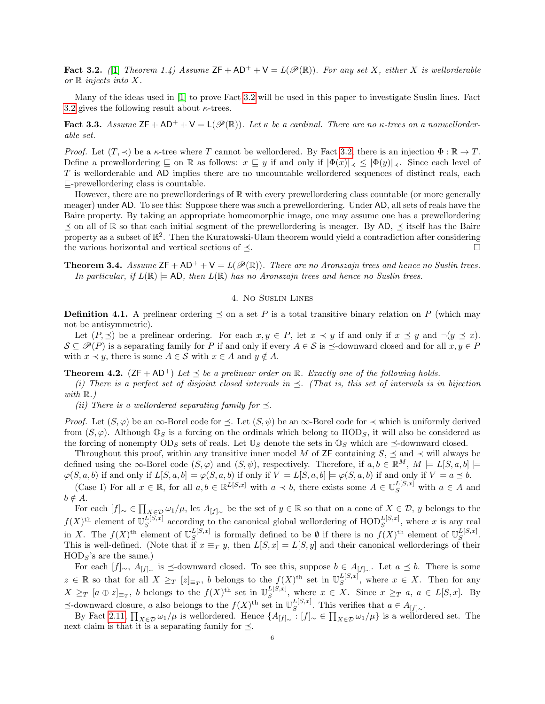<span id="page-5-2"></span>**Fact 3.2.** (1) Theorem 1.4) Assume  $ZF + AD^+ + V = L(\mathcal{P}(\mathbb{R}))$ . For any set X, either X is wellorderable or  $\mathbb R$  injects into X.

Many of the ideas used in [\[1\]](#page-14-7) to prove Fact [3.2](#page-5-2) will be used in this paper to investigate Suslin lines. Fact [3.2](#page-5-2) gives the following result about  $\kappa$ -trees.

Fact 3.3. Assume  $\mathsf{ZF} + \mathsf{AD^+} + \mathsf{V} = \mathsf{L}(\mathscr{P}(\mathbb{R}))$ . Let  $\kappa$  be a cardinal. There are no  $\kappa$ -trees on a nonwellorderable set.

*Proof.* Let  $(T, \prec)$  be a  $\kappa$ -tree where T cannot be wellordered. By Fact [3.2,](#page-5-2) there is an injection  $\Phi : \mathbb{R} \to T$ . Define a prewellordering  $\subseteq$  on R as follows:  $x \subseteq y$  if and only if  $|\Phi(x)| \leq |\Phi(y)| \leq$ . Since each level of T is wellorderable and AD implies there are no uncountable wellordered sequences of distinct reals, each  $\sqsubseteq$ -prewellordering class is countable.

However, there are no prewellorderings of  $\mathbb R$  with every prewellordering class countable (or more generally meager) under AD. To see this: Suppose there was such a prewellordering. Under AD, all sets of reals have the Baire property. By taking an appropriate homeomorphic image, one may assume one has a prewellordering  $\prec$  on all of R so that each initial segment of the prewellordering is meager. By AD,  $\prec$  itself has the Baire property as a subset of  $\mathbb{R}^2$ . Then the Kuratowski-Ulam theorem would yield a contradiction after considering the various horizontal and vertical sections of  $\preceq$ .

<span id="page-5-0"></span>**Theorem 3.4.** Assume  $ZF + AD^+ + V = L(\mathcal{P}(\mathbb{R}))$ . There are no Aronszajn trees and hence no Suslin trees. In particular, if  $L(\mathbb{R}) \models$  AD, then  $L(\mathbb{R})$  has no Aronszajn trees and hence no Suslin trees.

# 4. No Suslin Lines

**Definition 4.1.** A prelinear ordering  $\preceq$  on a set P is a total transitive binary relation on P (which may not be antisymmetric).

Let  $(P, \preceq)$  be a prelinear ordering. For each  $x, y \in P$ , let  $x \prec y$  if and only if  $x \preceq y$  and  $\neg(y \preceq x)$ .  $\mathcal{S} \subseteq \mathcal{P}(P)$  is a separating family for P if and only if every  $A \in \mathcal{S}$  is  $\preceq$ -downward closed and for all  $x, y \in P$ with  $x \prec y$ , there is some  $A \in \mathcal{S}$  with  $x \in A$  and  $y \notin A$ .

<span id="page-5-1"></span>**Theorem 4.2.** ( $ZF + AD^{+}$ ) Let  $\prec$  be a prelinear order on R. Exactly one of the following holds.

(i) There is a perfect set of disjoint closed intervals in  $\preceq$ . (That is, this set of intervals is in bijection with  $\mathbb{R}$ .)

(ii) There is a wellordered separating family for  $\preceq$ .

*Proof.* Let  $(S, \varphi)$  be an  $\infty$ -Borel code for  $\prec$ . Let  $(S, \psi)$  be an  $\infty$ -Borel code for  $\prec$  which is uniformly derived from  $(S, \varphi)$ . Although  $\mathbb{O}_S$  is a forcing on the ordinals which belong to  $HOD_S$ , it will also be considered as the forcing of nonempty  $OD_S$  sets of reals. Let  $\mathbb{U}_S$  denote the sets in  $\mathbb{O}_S$  which are  $\preceq$ -downward closed.

Throughout this proof, within any transitive inner model M of ZF containing  $S$ ,  $\preceq$  and  $\prec$  will always be defined using the ∞-Borel code  $(S, \varphi)$  and  $(S, \psi)$ , respectively. Therefore, if  $a, b \in \mathbb{R}^M$ ,  $M \models L[S, a, b] \models$  $\varphi(S, a, b)$  if and only if  $L[S, a, b] \models \varphi(S, a, b)$  if only if  $V \models L[S, a, b] \models \varphi(S, a, b)$  if and only if  $V \models a \preceq b$ .

(Case I) For all  $x \in \mathbb{R}$ , for all  $a, b \in \mathbb{R}^{L[S,x]}$  with  $a \prec b$ , there exists some  $A \in \mathbb{U}_{S}^{L[S,x]}$  with  $a \in A$  and  $b \notin A$ .

For each  $[f]_{\sim} \in \prod_{X \in \mathcal{D}} \omega_1/\mu$ , let  $A_{[f]_{\sim}}$  be the set of  $y \in \mathbb{R}$  so that on a cone of  $X \in \mathcal{D}$ , y belongs to the  $f(X)$ <sup>th</sup> element of  $\mathbb{U}_{S}^{L[S,x]}$  $L[S,x]$  according to the canonical global wellordering of  $\text{HOD}_S^{L[S,x]}$ , where x is any real in X. The  $f(X)$ <sup>th</sup> element of  $\mathbb{U}_{S}^{L[S,x]}$  $\int_{S}^{L[S,x]}$  is formally defined to be  $\emptyset$  if there is no  $f(X)$ <sup>th</sup> element of  $\mathbb{U}_{S}^{L[S,x]}$  $S^{L[S,x]}.$ This is well-defined. (Note that if  $x \equiv_T y$ , then  $L[S, x] = L[S, y]$  and their canonical wellorderings of their  $HOD<sub>S</sub>$ 's are the same.)

For each  $[f]_{\sim}$ ,  $A_{[f]_{\sim}}$  is  $\preceq$ -downward closed. To see this, suppose  $b \in A_{[f]_{\sim}}$ . Let  $a \preceq b$ . There is some  $z \in \mathbb{R}$  so that for all  $X \geq_T [z]_{\equiv_T}$ , b belongs to the  $f(X)$ <sup>th</sup> set in  $\mathbb{U}_S^{L[S,x]}$  $S^{L[5,x]}$ , where  $x \in X$ . Then for any  $X \geq_T [a \oplus z]_{\equiv_T}$ , b belongs to the  $f(X)$ <sup>th</sup> set in  $\mathbb{U}_{S}^{L[S,x]}$  $S^{L[S,x]}$ , where  $x \in X$ . Since  $x \geq_T a$ ,  $a \in L[S,x]$ . By  $\preceq$ -downward closure, a also belongs to the  $f(X)$ <sup>th</sup> set in  $\mathbb{U}_S^{L[S,x]}$  $S^{L[S,x]}$ . This verifies that  $a \in A_{[f]_{\sim}}$ .

By Fact [2.11,](#page-4-0)  $\prod_{X\in\mathcal{D}}\omega_1/\mu$  is wellordered. Hence  $\{A_{[f]_\sim}: [f]_\sim\in\prod_{X\in\mathcal{D}}\omega_1/\mu\}$  is a wellordered set. The next claim is that it is a separating family for  $\preceq$ .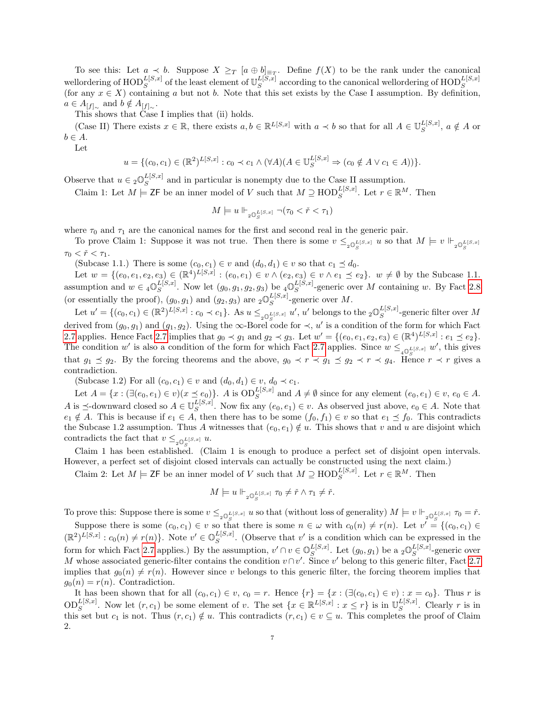To see this: Let  $a \prec b$ . Suppose  $X \geq_T [a \oplus b]_{\equiv_T}$ . Define  $f(X)$  to be the rank under the canonical wellordering of  $\mathrm{HOD}^{L[S,x]}_{S}$  of the least element of  $\mathbb{U}_{S}^{L[S,x]}$  $\frac{L[S,x]}{S}$  according to the canonical well<br>ordering of  $\text{HOD}_S^{L[S,x]}$ (for any  $x \in X$ ) containing a but not b. Note that this set exists by the Case I assumption. By definition,  $a \in A_{[f]_{\sim}}$  and  $b \notin A_{[f]_{\sim}}$ .

This shows that Case I implies that (ii) holds.

(Case II) There exists  $x \in \mathbb{R}$ , there exists  $a, b \in \mathbb{R}^{L[S,x]}$  with  $a \prec b$  so that for all  $A \in \mathbb{U}_S^{L[S,x]}$  $S^{L[S,x]}$ ,  $a \notin A$  or  $b \in A$ .

Let

$$
u = \{(c_0, c_1) \in (\mathbb{R}^2)^{L[S, x]} : c_0 \prec c_1 \land (\forall A)(A \in \mathbb{U}_S^{L[S, x]} \Rightarrow (c_0 \notin A \lor c_1 \in A))\}.
$$

Observe that  $u \in {}_{2}\mathbb{O}_{S}^{L[S,x]}$  $S^{L[5,x]}$  and in particular is nonempty due to the Case II assumption.

Claim 1: Let  $M \models \mathsf{ZF}$  be an inner model of V such that  $M \supseteq \text{HOD}_{S}^{L[S,x]}$ . Let  $r \in \mathbb{R}^{M}$ . Then

$$
M \models u \Vdash_{2\mathbb{O}_S^{L[S,x]}} \neg (\tau_0 < \check{r} < \tau_1)
$$

where  $\tau_0$  and  $\tau_1$  are the canonical names for the first and second real in the generic pair.

To prove Claim 1: Suppose it was not true. Then there is some  $v \leq_{2\mathbb{Q}_S^{L[S,x]}} u$  so that  $M \models v \Vdash_{2\mathbb{Q}_S^{L[S,x]}}$  $\tau_0 < \check{r} < \tau_1$ .

(Subcase 1.1.) There is some  $(c_0, c_1) \in v$  and  $(d_0, d_1) \in v$  so that  $c_1 \preceq d_0$ .

Let  $w = \{(e_0, e_1, e_2, e_3) \in (\mathbb{R}^4)^{L[S, x]} : (e_0, e_1) \in v \wedge (e_2, e_3) \in v \wedge e_1 \preceq e_2\}$ .  $w \neq \emptyset$  by the Subcase 1.1. assumption and  $w \in \mathcal{A} \mathbb{O}_S^{L[S,x]}$  $_{S}^{L[S,x]}$ . Now let  $(g_0, g_1, g_2, g_3)$  be  $_{4} \mathbb{O}_S^{L[S,x]}$  $E[S^{(1)}S]$ -generic over M containing w. By Fact [2.8](#page-4-1) (or essentially the proof),  $(g_0, g_1)$  and  $(g_2, g_3)$  are  ${}_2\mathbb{O}^{L[S, x]}_S$  $S^{L[S,x]}$ -generic over M.

Let  $u' = \{(c_0, c_1) \in (\mathbb{R}^2)^{L[S, x]} : c_0 \prec c_1\}$ . As  $u \leq_{2\mathbb{Q}_S^{L[S, x]}} u'$ ,  $u'$  belongs to the  $2\mathbb{Q}_S^{L[S, x]}$ derived from  $(g_0, g_1)$  and  $(g_1, g_2)$ . Using the ∞-Borel code for  $\prec$ , u' is a condition of the form for which Fact  $S^{L[S,x]}$ -generic filter over M [2.7](#page-3-0) applies. Hence Fact [2.7](#page-3-0) implies that  $g_0 \prec g_1$  and  $g_2 \prec g_3$ . Let  $w' = \{(e_0, e_1, e_2, e_3) \in (\mathbb{R}^4)^{L[S,x]} : e_1 \preceq e_2\}$ . The condition w' is also a condition of the form for which Fact [2.7](#page-3-0) applies. Since  $w \leq_{40\frac{L}{S}(S,x)} w'$ , this gives that  $g_1 \preceq g_2$ . By the forcing theorems and the above,  $g_0 \prec r \prec g_1 \preceq g_2 \prec r \prec g_4$ . Hence  $r \prec r$  gives a contradiction.

(Subcase 1.2) For all  $(c_0, c_1) \in v$  and  $(d_0, d_1) \in v$ ,  $d_0 \prec c_1$ .

Let  $A = \{x : (\exists (e_0, e_1) \in v)(x \preceq e_0)\}\)$ . A is  $OD_S^{L[S, x]}$  and  $A \neq \emptyset$  since for any element  $(e_0, e_1) \in v$ ,  $e_0 \in A$ . A is  $\preceq$ -downward closed so  $A \in \mathbb{U}_{S}^{L[S,x]}$  $S^{L[5,x]}$ . Now fix any  $(e_0, e_1) \in v$ . As observed just above,  $e_0 \in A$ . Note that  $e_1 \notin A$ . This is because if  $e_1 \in A$ , then there has to be some  $(f_0, f_1) \in v$  so that  $e_1 \preceq f_0$ . This contradicts the Subcase 1.2 assumption. Thus A witnesses that  $(e_0, e_1) \notin u$ . This shows that v and u are disjoint which contradicts the fact that  $v \leq_{2\mathbb{Q}_S^{L[S,x]}} u$ .

Claim 1 has been established. (Claim 1 is enough to produce a perfect set of disjoint open intervals. However, a perfect set of disjoint closed intervals can actually be constructed using the next claim.)

Claim 2: Let  $M \models \mathsf{ZF}$  be an inner model of V such that  $M \supseteq \text{HOD}_{S}^{L[S,x]}$ . Let  $r \in \mathbb{R}^{M}$ . Then

$$
M\models u\Vdash_{\mathbf{2}\mathbb{O}^L_S^{[S,x]}}\tau_0\neq\check{r}\wedge\tau_1\neq\check{r}.
$$

To prove this: Suppose there is some  $v \leq_{2\mathbb{Q}_S^{L[S,x]}} u$  so that (without loss of generality)  $M \models v \Vdash_{2\mathbb{Q}_S^{L[S,x]}} \tau_0 = \check{r}$ .

Suppose there is some  $(c_0, c_1) \in v$  so that there is some  $n \in \omega$  with  $c_0(n) \neq r(n)$ . Let  $v' = \{(c_0, c_1) \in v\}$  $(\mathbb{R}^2)^{L[S,x]} : c_0(n) \neq r(n) \}$ . Note  $v' \in \mathbb{O}_{S}^{L[S,x]}$  $\mathcal{L}_{S}^{L[S,x]}$ . (Observe that v' is a condition which can be expressed in the form for which Fact [2.7](#page-3-0) applies.) By the assumption,  $v' \cap v \in \mathbb{O}_{S}^{L[S,x]}$  $_{S}^{L[S,x]}$ . Let  $(g_0, g_1)$  be a  $_{2}\mathbb{O}_S^{L[S,x]}$  $S^{L[S,x]}$ -generic over M whose associated generic-filter contains the condition  $v \cap v'$ . Since v' belong to this generic filter, Fact [2.7](#page-3-0) implies that  $g_0(n) \neq r(n)$ . However since v belongs to this generic filter, the forcing theorem implies that  $g_0(n) = r(n)$ . Contradiction.

It has been shown that for all  $(c_0, c_1) \in v$ ,  $c_0 = r$ . Hence  $\{r\} = \{x : (\exists (c_0, c_1) \in v) : x = c_0\}$ . Thus r is  $\text{OD}_S^{L[S,x]}$ . Now let  $(r, c_1)$  be some element of v. The set  $\{x \in \mathbb{R}^{L[S,x]} : x \leq r\}$  is in  $\mathbb{U}_S^{L[S,x]}$  $S^{L[S,x]}$ . Clearly r is in this set but  $c_1$  is not. Thus  $(r, c_1) \notin u$ . This contradicts  $(r, c_1) \in v \subseteq u$ . This completes the proof of Claim 2.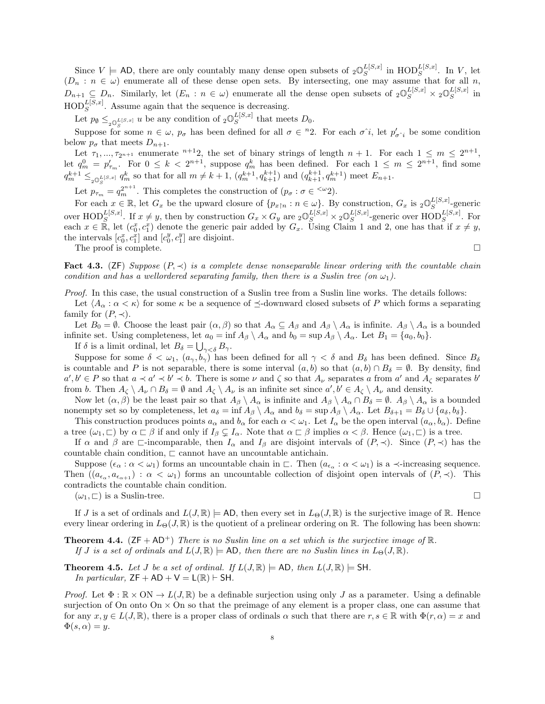Since  $V \models$  AD, there are only countably many dense open subsets of  ${}_{2}\mathbb{O}^{L[S,x]}_{S}$  $_{S}^{L[S,x]}$  in  $\text{HOD}_{S}^{L[S,x]}$ . In V, let  $(D_n : n \in \omega)$  enumerate all of these dense open sets. By intersecting, one may assume that for all n,  $D_{n+1} \subseteq D_n$ . Similarly, let  $(E_n : n \in \omega)$  enumerate all the dense open subsets of  ${}_2\mathbb{O}_S^{L[S,x]} \times {}_2\mathbb{O}_S^{L[S,x]}$  $S^{L[5,x]}$  in  $\text{HOD}_S^{L[S,x]}$ . Assume again that the sequence is decreasing.

Let  $p_{\emptyset} \leq_{2\mathbb{O}_S^{L[S,x]}} u$  be any condition of  $2\mathbb{O}_S^{L[S,x]}$  $S^{L[3,x]}$  that meets  $D_0$ .

Suppose for some  $n \in \omega$ ,  $p_{\sigma}$  has been defined for all  $\sigma \in {}^{n}2$ . For each  $\sigma \hat{i}$ , let  $p'_{\sigma \hat{i}}$  be some condition below  $p_{\sigma}$  that meets  $D_{n+1}$ .

Let  $\tau_1, ..., \tau_{2^{n+1}}$  enumerate  $n+1$ , the set of binary strings of length  $n+1$ . For each  $1 \leq m \leq 2^{n+1}$ , let  $q_m^0 = p'_{\tau_m}$ . For  $0 \le k < 2^{n+1}$ , suppose  $q_m^k$  has been defined. For each  $1 \le m \le 2^{n+1}$ , find some  $q_m^{k+1} \leq_{i_0} L_S^{(S,x)} q_m^k$  so that for all  $m \neq k+1$ ,  $(q_m^{k+1}, q_{k+1}^{k+1})$  and  $(q_{k+1}^{k+1}, q_m^{k+1})$  meet  $E_{n+1}$ .

Let  $p_{\tau_m} = q_m^{2^{n+1}}$ . This completes the construction of  $(p_\sigma : \sigma \in \langle \omega_2 \rangle)$ .

For each  $x \in \mathbb{R}$ , let  $G_x$  be the upward closure of  $\{p_{x \upharpoonright n} : n \in \omega\}$ . By construction,  $G_x$  is  ${}_2\mathbb{O}^{L[S,x]}_S$  $S^{L[S,x]}$ -generic over  $\text{HOD}_S^{L[S,x]}$ . If  $x \neq y$ , then by construction  $G_x \times G_y$  are  ${}_2\mathbb{O}_S^{L[S,x]} \times {}_2\mathbb{O}_S^{L[S,x]}$  $_{S}^{L[S,x]}$ -generic over  $\text{HOD}_{S}^{L[S,x]}$ . For each  $x \in \mathbb{R}$ , let  $(c_0^x, c_1^x)$  denote the generic pair added by  $G_x$ . Using Claim 1 and 2, one has that if  $x \neq y$ , the intervals  $[c_0^x, c_1^x]$  and  $[c_0^y, c_1^y]$  are disjoint.

The proof is complete.  $\Box$ 

<span id="page-7-2"></span>Fact 4.3. (ZF) Suppose  $(P, \prec)$  is a complete dense nonseparable linear ordering with the countable chain condition and has a wellordered separating family, then there is a Suslin tree (on  $\omega_1$ ).

Proof. In this case, the usual construction of a Suslin tree from a Suslin line works. The details follows:

Let  $\langle A_\alpha : \alpha < \kappa \rangle$  for some  $\kappa$  be a sequence of  $\preceq$ -downward closed subsets of P which forms a separating family for  $(P, \prec)$ .

Let  $B_0 = \emptyset$ . Choose the least pair  $(\alpha, \beta)$  so that  $A_\alpha \subseteq A_\beta$  and  $A_\beta \setminus A_\alpha$  is infinite.  $A_\beta \setminus A_\alpha$  is a bounded infinite set. Using completeness, let  $a_0 = \inf A_\beta \setminus A_\alpha$  and  $b_0 = \sup A_\beta \setminus A_\alpha$ . Let  $B_1 = \{a_0, b_0\}$ .

If  $\delta$  is a limit ordinal, let  $B_{\delta} = \bigcup_{\gamma < \delta} B_{\gamma}$ .

Suppose for some  $\delta < \omega_1, (a_{\gamma}, b_{\gamma})$  has been defined for all  $\gamma < \delta$  and  $B_{\delta}$  has been defined. Since  $B_{\delta}$ is countable and P is not separable, there is some interval  $(a, b)$  so that  $(a, b) \cap B_{\delta} = \emptyset$ . By density, find  $a', b' \in P$  so that  $a \prec a' \prec b' \prec b$ . There is some  $\nu$  and  $\zeta$  so that  $A_{\nu}$  separates a from  $a'$  and  $A_{\zeta}$  separates  $b'$ from b. Then  $A_{\zeta} \setminus A_{\nu} \cap B_{\delta} = \emptyset$  and  $A_{\zeta} \setminus A_{\nu}$  is an infinite set since  $a', b' \in A_{\zeta} \setminus A_{\nu}$  and density.

Now let  $(\alpha, \beta)$  be the least pair so that  $A_{\beta} \setminus A_{\alpha}$  is infinite and  $A_{\beta} \setminus A_{\alpha} \cap B_{\delta} = \emptyset$ .  $A_{\beta} \setminus A_{\alpha}$  is a bounded nonempty set so by completeness, let  $a_{\delta} = \inf A_{\beta} \setminus A_{\alpha}$  and  $b_{\delta} = \sup A_{\beta} \setminus A_{\alpha}$ . Let  $B_{\delta+1} = B_{\delta} \cup \{a_{\delta}, b_{\delta}\}.$ 

This construction produces points  $a_{\alpha}$  and  $b_{\alpha}$  for each  $\alpha < \omega_1$ . Let  $I_{\alpha}$  be the open interval  $(a_{\alpha}, b_{\alpha})$ . Define a tree  $(\omega_1, \square)$  by  $\alpha \square \beta$  if and only if  $I_\beta \subsetneq I_\alpha$ . Note that  $\alpha \square \beta$  implies  $\alpha < \beta$ . Hence  $(\omega_1, \square)$  is a tree.

If  $\alpha$  and  $\beta$  are  $\Box$ -incomparable, then  $I_{\alpha}$  and  $I_{\beta}$  are disjoint intervals of  $(P, \prec)$ . Since  $(P, \prec)$  has the countable chain condition,  $\sqsubset$  cannot have an uncountable antichain.

Suppose  $(\epsilon_{\alpha} : \alpha < \omega_1)$  forms an uncountable chain in  $\Box$ . Then  $(a_{\epsilon_{\alpha}} : \alpha < \omega_1)$  is a  $\prec$ -increasing sequence. Then  $((a_{\epsilon_{\alpha}}, a_{\epsilon_{\alpha+1}}) : \alpha < \omega_1)$  forms an uncountable collection of disjoint open intervals of  $(P, \prec)$ . This contradicts the countable chain condition.

 $(\omega_1, \Box)$  is a Suslin-tree.

If J is a set of ordinals and  $L(J, \mathbb{R}) \models$  AD, then every set in  $L_{\Theta}(J, \mathbb{R})$  is the surjective image of R. Hence every linear ordering in  $L_{\Theta}(J, \mathbb{R})$  is the quotient of a prelinear ordering on R. The following has been shown:

<span id="page-7-0"></span>**Theorem 4.4.** ( $ZF + AD^+$ ) There is no Suslin line on a set which is the surjective image of  $\mathbb{R}$ . If J is a set of ordinals and  $L(J, \mathbb{R}) \models$  AD, then there are no Suslin lines in  $L_{\Theta}(J, \mathbb{R})$ .

<span id="page-7-1"></span>**Theorem 4.5.** Let J be a set of ordinal. If  $L(J, \mathbb{R}) \models AD$ , then  $L(J, \mathbb{R}) \models SH$ . In particular,  $ZF + AD + V = L(\mathbb{R})$   $\vdash$  SH.

*Proof.* Let  $\Phi : \mathbb{R} \times \mathbb{ON} \to L(J, \mathbb{R})$  be a definable surjection using only J as a parameter. Using a definable surjection of On onto On  $\times$  On so that the preimage of any element is a proper class, one can assume that for any  $x, y \in L(J, \mathbb{R})$ , there is a proper class of ordinals  $\alpha$  such that there are  $r, s \in \mathbb{R}$  with  $\Phi(r, \alpha) = x$  and  $\Phi(s,\alpha)=y.$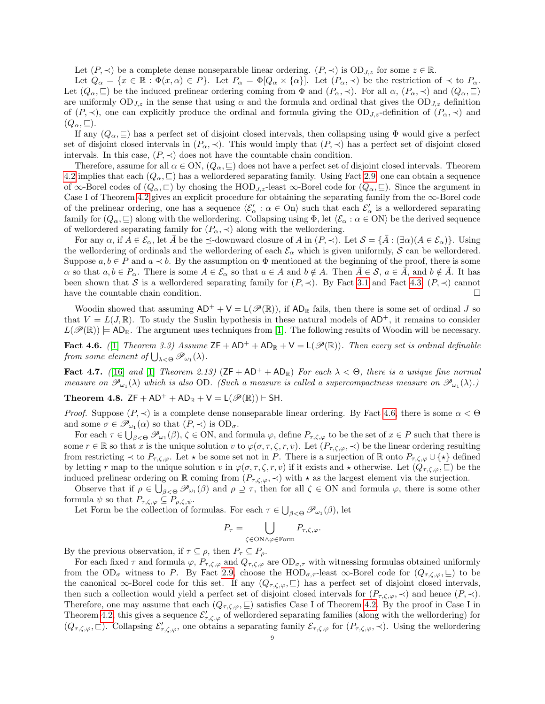Let  $(P, \prec)$  be a complete dense nonseparable linear ordering.  $(P, \prec)$  is  $OD_{J,z}$  for some  $z \in \mathbb{R}$ .

Let  $Q_{\alpha} = \{x \in \mathbb{R} : \Phi(x, \alpha) \in P\}$ . Let  $P_{\alpha} = \Phi[Q_{\alpha} \times \{\alpha\}]$ . Let  $(P_{\alpha}, \prec)$  be the restriction of  $\prec$  to  $P_{\alpha}$ . Let  $(Q_\alpha, \subseteq)$  be the induced prelinear ordering coming from  $\Phi$  and  $(P_\alpha, \prec)$ . For all  $\alpha$ ,  $(P_\alpha, \prec)$  and  $(Q_\alpha, \subseteq)$ are uniformly  $OD_{J,z}$  in the sense that using  $\alpha$  and the formula and ordinal that gives the  $OD_{J,z}$  definition of  $(P, \prec)$ , one can explicitly produce the ordinal and formula giving the OD<sub>J,z</sub>-definition of  $(P_\alpha, \prec)$  and  $(Q_{\alpha}, \sqsubseteq).$ 

If any  $(Q_\alpha, \subseteq)$  has a perfect set of disjoint closed intervals, then collapsing using  $\Phi$  would give a perfect set of disjoint closed intervals in  $(P_{\alpha}, \prec)$ . This would imply that  $(P, \prec)$  has a perfect set of disjoint closed intervals. In this case,  $(P, \prec)$  does not have the countable chain condition.

Therefore, assume for all  $\alpha \in ON$ ,  $(Q_\alpha, \subseteq)$  does not have a perfect set of disjoint closed intervals. Theorem [4.2](#page-5-1) implies that each  $(Q_\alpha, \subseteq)$  has a wellordered separating family. Using Fact [2.9,](#page-4-2) one can obtain a sequence of  $\infty$ -Borel codes of  $(Q_\alpha, \square)$  by chosing the HOD<sub>J,z</sub>-least  $\infty$ -Borel code for  $(Q_\alpha, \square)$ . Since the argument in Case I of Theorem [4.2](#page-5-1) gives an explicit procedure for obtaining the separating family from the  $\infty$ -Borel code of the prelinear ordering, one has a sequence  $\langle \mathcal{E}'_{\alpha} : \alpha \in \Omega$  is a wellordered separating family for  $(Q_\alpha, \subseteq)$  along with the wellordering. Collapsing using  $\Phi$ , let  $\langle \mathcal{E}_\alpha : \alpha \in \mathcal{ON} \rangle$  be the derived sequence of wellordered separating family for  $(P_{\alpha}, \prec)$  along with the wellordering.

For any  $\alpha$ , if  $A \in \mathcal{E}_{\alpha}$ , let  $\overline{A}$  be the  $\preceq$ -downward closure of A in  $(P, \prec)$ . Let  $\mathcal{S} = {\overline{A}}$ :  $(\exists \alpha)(A \in \mathcal{E}_{\alpha})$ . Using the wellordering of ordinals and the wellordering of each  $\mathcal{E}_{\alpha}$  which is given uniformly, S can be wellordered. Suppose  $a, b \in P$  and  $a \prec b$ . By the assumption on  $\Phi$  mentioned at the beginning of the proof, there is some  $\alpha$  so that  $a, b \in P_\alpha$ . There is some  $A \in \mathcal{E}_\alpha$  so that  $a \in A$  and  $b \notin A$ . Then  $A \in \mathcal{S}$ ,  $a \in A$ , and  $b \notin A$ . It has been shown that S is a wellordered separating family for  $(P, \prec)$ . By Fact [3.1](#page-4-3) and Fact [4.3,](#page-7-2)  $(P, \prec)$  cannot have the countable chain condition.  $\Box$ 

Woodin showed that assuming  $AD^+ + V = L(\mathcal{P}(\mathbb{R}))$ , if  $AD_{\mathbb{R}}$  fails, then there is some set of ordinal J so that  $V = L(J, \mathbb{R})$ . To study the Suslin hypothesis in these natural models of  $AD^+$ , it remains to consider  $L(\mathscr{P}(\mathbb{R})) = \mathsf{AD}_{\mathbb{R}}$ . The argument uses techniques from [\[1\]](#page-14-7). The following results of Woodin will be necessary.

<span id="page-8-1"></span>Fact 4.6. (1) Theorem 3.3) Assume  $ZF + AD^+ + AD_R + V = L(\mathscr{P}(\mathbb{R}))$ . Then every set is ordinal definable from some element of  $\bigcup_{\lambda<\Theta}\mathscr{P}_{\omega_1}(\lambda)$ .

Fact 4.7. ([\[16\]](#page-15-2) and [\[1\]](#page-14-7) Theorem 2.13)  $(ZF + AD^+ + AD_R)$  For each  $\lambda < \Theta$ , there is a unique fine normal measure on  $\mathscr{P}_{\omega_1}(\lambda)$  which is also OD. (Such a measure is called a supercompactness measure on  $\mathscr{P}_{\omega_1}(\lambda)$ .)

<span id="page-8-0"></span>Theorem 4.8.  $ZF + AD^+ + AD_R + V = L(\mathcal{P}(\mathbb{R}))$   $\vdash$  SH.

*Proof.* Suppose  $(P, \prec)$  is a complete dense nonseparable linear ordering. By Fact [4.6,](#page-8-1) there is some  $\alpha < \Theta$ and some  $\sigma \in \mathscr{P}_{\omega_1}(\alpha)$  so that  $(P, \prec)$  is  $OD_{\sigma}$ .

For each  $\tau \in \bigcup_{\beta < \Theta} \mathscr{P}_{\omega_1}(\beta), \zeta \in \mathrm{ON}$ , and formula  $\varphi$ , define  $P_{\tau,\zeta,\varphi}$  to be the set of  $x \in P$  such that there is some  $r \in \mathbb{R}$  so that x is the unique solution v to  $\varphi(\sigma, \tau, \zeta, r, v)$ . Let  $(P_{\tau, \zeta, \varphi}, \prec)$  be the linear ordering resulting from restricting  $\prec$  to  $P_{\tau,\zeta,\varphi}$ . Let  $\star$  be some set not in P. There is a surjection of R onto  $P_{\tau,\zeta,\varphi}\cup\{\star\}$  defined by letting r map to the unique solution v in  $\varphi(\sigma, \tau, \zeta, r, v)$  if it exists and  $\star$  otherwise. Let  $(Q_{\tau, \zeta, \varphi}, \sqsubseteq)$  be the induced prelinear ordering on R coming from  $(P_{\tau,\zeta,\varphi},\prec)$  with  $\star$  as the largest element via the surjection.

Observe that if  $\rho \in \bigcup_{\beta < \Theta} \mathscr{P}_{\omega_1}(\beta)$  and  $\rho \supseteq \tau$ , then for all  $\zeta \in \text{ON}$  and formula  $\varphi$ , there is some other formula  $\psi$  so that  $P_{\tau,\zeta,\varphi} \subseteq P_{\rho,\zeta,\psi}$ .

Let Form be the collection of formulas. For each  $\tau \in \bigcup_{\beta < \Theta} \mathscr{P}_{\omega_1}(\beta)$ , let

$$
P_{\tau} = \bigcup_{\zeta \in \text{ON} \land \varphi \in \text{Form}} P_{\tau, \zeta, \varphi}.
$$

By the previous observation, if  $\tau \subseteq \rho$ , then  $P_{\tau} \subseteq P_{\rho}$ .

For each fixed  $\tau$  and formula  $\varphi$ ,  $P_{\tau,\zeta,\varphi}$  and  $Q_{\tau,\zeta,\varphi}$  are  $OD_{\sigma,\tau}$  with witnessing formulas obtained uniformly from the  $OD_{\sigma}$  witness to P. By Fact [2.9,](#page-4-2) choose the HOD<sub> $\sigma$ ,</sub>-least  $\infty$ -Borel code for  $(Q_{\tau,\zeta,\varphi},\sqsubseteq)$  to be the canonical  $\infty$ -Borel code for this set. If any  $(Q_{\tau,\zeta,\varphi},\sqsubseteq)$  has a perfect set of disjoint closed intervals, then such a collection would yield a perfect set of disjoint closed intervals for  $(P_{\tau,\zeta,\varphi},\prec)$  and hence  $(P,\prec)$ . Therefore, one may assume that each  $(Q_{\tau,\zeta,\varphi},\subseteq)$  satisfies Case I of Theorem [4.2.](#page-5-1) By the proof in Case I in Theorem [4.2,](#page-5-1) this gives a sequence  $\mathcal{E}'_{\tau,\zeta,\varphi}$  of wellordered separating families (along with the wellordering) for  $(Q_{\tau,\zeta,\varphi},\Box)$ . Collapsing  $\mathcal{E}'_{\tau,\zeta,\varphi}$ , one obtains a separating family  $\mathcal{E}_{\tau,\zeta,\varphi}$  for  $(P_{\tau,\zeta,\varphi},\prec)$ . Using the wellordering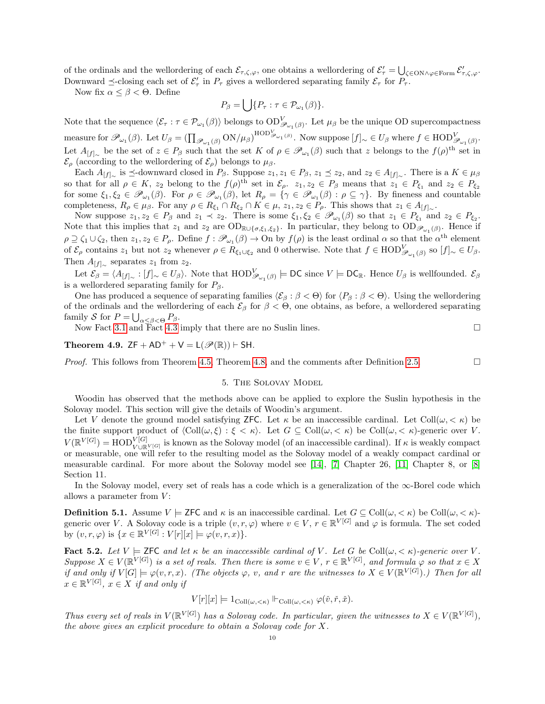of the ordinals and the wellordering of each  $\mathcal{E}_{\tau,\zeta,\varphi}$ , one obtains a wellordering of  $\mathcal{E}'_{\tau} = \bigcup_{\zeta \in \mathrm{ON} \wedge \varphi \in \mathrm{Form}} \mathcal{E}'_{\tau,\zeta,\varphi}$ . Downward  $\preceq$ -closing each set of  $\mathcal{E}'_{\tau}$  in  $P_{\tau}$  gives a wellordered separating family  $\mathcal{E}_{\tau}$  for  $P_{\tau}$ .

Now fix  $\alpha \leq \beta < \Theta$ . Define

$$
P_{\beta} = \bigcup \{ P_{\tau} : \tau \in \mathcal{P}_{\omega_1}(\beta) \}.
$$

Note that the sequence  $\langle \mathcal{E}_{\tau} : \tau \in \mathcal{P}_{\omega_1}(\beta) \rangle$  belongs to  $OD_{\mathscr{P}_{\omega_1}(\beta)}^V$ . Let  $\mu_\beta$  be the unique OD supercompactness measure for  $\mathscr{P}_{\omega_1}(\beta)$ . Let  $U_\beta = (\prod_{\mathscr{P}_{\omega_1}(\beta)} \text{ON}/\mu_\beta)^{\text{HOD}_{\mathscr{P}_{\omega_1}(\beta)}}$ . Now suppose  $[f]_\sim \in U_\beta$  where  $f \in \text{HOD}_{\mathscr{P}_{\omega_1}(\beta)}^V$ . Let  $A_{[f]_{\sim}}$  be the set of  $z \in P_{\beta}$  such that the set K of  $\rho \in \mathscr{P}_{\omega_1}(\beta)$  such that z belongs to the  $f(\rho)^{\text{th}}$  set in  $\mathcal{E}_{\rho}$  (according to the wellordering of  $\mathcal{E}_{\rho}$ ) belongs to  $\mu_{\beta}$ .

Each  $A_{[f]_{\sim}}$  is  $\preceq$ -downward closed in  $P_{\beta}$ . Suppose  $z_1, z_1 \in P_{\beta}$ ,  $z_1 \preceq z_2$ , and  $z_2 \in A_{[f]_{\sim}}$ . There is a  $K \in \mu_{\beta}$ so that for all  $\rho \in K$ ,  $z_2$  belong to the  $f(\rho)^{\text{th}}$  set in  $\mathcal{E}_{\rho}$ .  $z_1, z_2 \in P_{\beta}$  means that  $z_1 \in P_{\xi_1}$  and  $z_2 \in P_{\xi_2}$ for some  $\xi_1, \xi_2 \in \mathscr{P}_{\omega_1}(\beta)$ . For  $\rho \in \mathscr{P}_{\omega_1}(\beta)$ , let  $R_\rho = \{ \gamma \in \mathscr{P}_{\omega_1}(\beta) : \rho \subseteq \gamma \}$ . By fineness and countable completeness,  $R_{\rho} \in \mu_{\beta}$ . For any  $\rho \in R_{\xi_1} \cap R_{\xi_2} \cap K \in \mu$ ,  $z_1, z_2 \in P_{\rho}$ . This shows that  $z_1 \in A_{[f]_{\sim}}$ .

Now suppose  $z_1, z_2 \in P_\beta$  and  $z_1 \prec z_2$ . There is some  $\xi_1, \xi_2 \in \mathscr{P}_{\omega_1}(\beta)$  so that  $z_1 \in P_{\xi_1}$  and  $z_2 \in P_{\xi_2}$ . Note that this implies that  $z_1$  and  $z_2$  are  $OD_{\mathbb{R}\cup{\{\sigma,\xi_1,\xi_2\}}}$ . In particular, they belong to  $OD_{\mathscr{P}_{\omega_1}(\beta)}$ . Hence if  $\rho \supseteq \zeta_1 \cup \zeta_2$ , then  $z_1, z_2 \in P_\rho$ . Define  $f : \mathscr{P}_{\omega_1}(\beta) \to \text{On by } f(\rho)$  is the least ordinal  $\alpha$  so that the  $\alpha^{\text{th}}$  element of  $\mathcal{E}_{\rho}$  contains  $z_1$  but not  $z_2$  whenever  $\rho \in R_{\xi_1 \cup \xi_2}$  and 0 otherwise. Note that  $f \in \text{HOD}_{\mathscr{P}_{\omega_1}(\beta)}^V$  so  $[f]_{\sim} \in U_{\beta}$ . Then  $A_{[f]_{\sim}}$  separates  $z_1$  from  $z_2$ .

Let  $\mathcal{E}_{\beta} = \langle A_{[f]_{\sim}} : [f]_{\sim} \in U_{\beta} \rangle$ . Note that  $\text{HOD}_{\mathscr{P}_{\omega_1}(\beta)}^V \models \text{DC}$  since  $V \models \text{DC}_{\mathbb{R}}$ . Hence  $U_{\beta}$  is wellfounded.  $\mathcal{E}_{\beta}$ is a wellordered separating family for  $P_\beta$ .

One has produced a sequence of separating families  $\langle \mathcal{E}_{\beta} : \beta < \Theta \rangle$  for  $\langle P_{\beta} : \beta < \Theta \rangle$ . Using the wellordering of the ordinals and the wellordering of each  $\mathcal{E}_{\beta}$  for  $\beta < \Theta$ , one obtains, as before, a wellordered separating family S for  $P = \bigcup_{\alpha \leq \beta < \Theta} P_{\beta}$ .

Now Fact [3.1](#page-4-3) and Fact [4.3](#page-7-2) imply that there are no Suslin lines.  $\square$ 

<span id="page-9-0"></span>Theorem 4.9.  $ZF + AD^+ + V = L(\mathcal{P}(\mathbb{R}))$   $\vdash$  SH.

*Proof.* This follows from Theorem [4.5,](#page-7-1) Theorem [4.8,](#page-8-0) and the comments after Definition [2.5.](#page-3-1)

# 5. The Solovay Model

Woodin has observed that the methods above can be applied to explore the Suslin hypothesis in the Solovay model. This section will give the details of Woodin's argument.

Let V denote the ground model satisfying ZFC. Let  $\kappa$  be an inaccessible cardinal. Let Coll $(\omega, < \kappa)$  be the finite support product of  $\langle \text{Coll}(\omega, \xi) : \xi < \kappa \rangle$ . Let  $G \subseteq \text{Coll}(\omega, \langle \kappa \rangle)$  be  $\text{Coll}(\omega, \langle \kappa \rangle)$ -generic over V.  $V(\mathbb{R}^{V[G]}) = \text{HOD}_{V \cup \mathbb{R}^{V[G]}}^{V[G]}$  is known as the Solovay model (of an inaccessible cardinal). If  $\kappa$  is weakly compact or measurable, one will refer to the resulting model as the Solovay model of a weakly compact cardinal or measurable cardinal. For more about the Solovay model see [\[14\]](#page-14-12), [\[7\]](#page-14-11) Chapter 26, [\[11\]](#page-14-13) Chapter 8, or [\[8\]](#page-14-14) Section 11.

In the Solovay model, every set of reals has a code which is a generalization of the  $\infty$ -Borel code which allows a parameter from  $V$ :

**Definition 5.1.** Assume  $V \models$  ZFC and  $\kappa$  is an inaccessible cardinal. Let  $G \subseteq \text{Coll}(\omega, \langle \kappa \rangle)$  be  $\text{Coll}(\omega, \langle \kappa \rangle)$ generic over V. A Solovay code is a triple  $(v, r, \varphi)$  where  $v \in V$ ,  $r \in \mathbb{R}^{V[G]}$  and  $\varphi$  is formula. The set coded by  $(v, r, \varphi)$  is  $\{x \in \mathbb{R}^{V[G]} : V[r][x] \models \varphi(v, r, x)\}.$ 

<span id="page-9-1"></span>Fact 5.2. Let  $V \models$  ZFC and let  $\kappa$  be an inaccessible cardinal of V. Let G be Coll $(\omega, \langle \kappa \rangle)$ -generic over V. Suppose  $X \in V(\mathbb{R}^{|V[G]})$  is a set of reals. Then there is some  $v \in V, r \in \mathbb{R}^{|V[G]}$ , and formula  $\varphi$  so that  $x \in X$ if and only if  $V[G] \models \varphi(v,r,x)$ . (The objects  $\varphi$ , v, and r are the witnesses to  $X \in V(\mathbb{R}^{V[G]})$ .) Then for all  $x \in \mathbb{R}^{V[G]}$ ,  $x \in X$  if and only if

$$
V[r][x] \models 1_{\text{Coll}(\omega,<\kappa)} \Vdash_{\text{Coll}(\omega,<\kappa)} \varphi(\check{v},\check{r},\check{x}).
$$

Thus every set of reals in  $V(\mathbb{R}^{V[G]})$  has a Solovay code. In particular, given the witnesses to  $X \in V(\mathbb{R}^{V[G]})$ , the above gives an explicit procedure to obtain a Solovay code for X.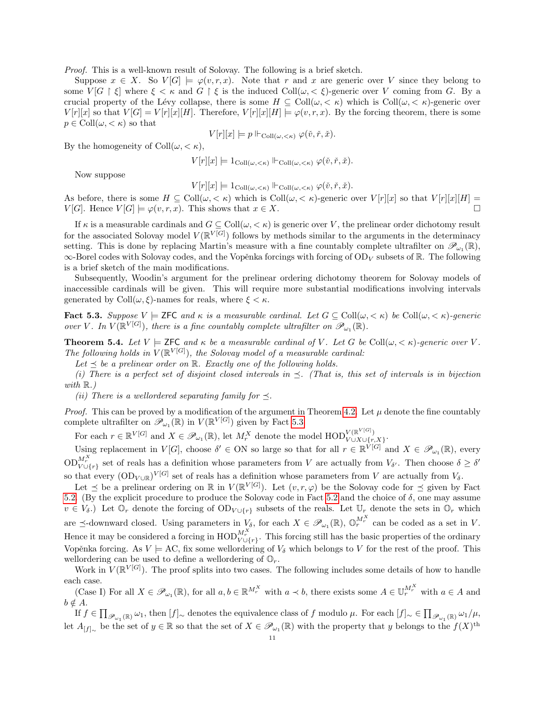Proof. This is a well-known result of Solovay. The following is a brief sketch.

Suppose  $x \in X$ . So  $V[G] \models \varphi(v, r, x)$ . Note that r and x are generic over V since they belong to some  $V[G \restriction \xi]$  where  $\xi < \kappa$  and  $G \restriction \xi$  is the induced  $\text{Coll}(\omega, \xi)$ -generic over V coming from G. By a crucial property of the Lévy collapse, there is some  $H \subseteq Coll(\omega, < \kappa)$  which is  $Coll(\omega, < \kappa)$ -generic over  $V[r][x]$  so that  $V[G] = V[r][x][H]$ . Therefore,  $V[r][x][H] \models \varphi(v,r,x)$ . By the forcing theorem, there is some  $p \in Coll(\omega, \langle \kappa \rangle)$  so that

$$
V[r][x] \models p \Vdash_{\mathrm{Coll}(\omega,<\kappa)} \varphi(\check{v},\check{r},\check{x}).
$$

By the homogeneity of  $Coll(\omega, < \kappa),$ 

$$
V[r][x] \models 1_{\text{Coll}(\omega,<\kappa)} \Vdash_{\text{Coll}(\omega,<\kappa)} \varphi(\check{v},\check{r},\check{x}).
$$

Now suppose

$$
V[r][x] \models 1_{\text{Coll}(\omega,<\kappa)} \Vdash_{\text{Coll}(\omega,<\kappa)} \varphi(\check{v},\check{r},\check{x}).
$$

As before, there is some  $H \subseteq \text{Coll}(\omega, <\kappa)$  which is  $\text{Coll}(\omega, <\kappa)$ -generic over  $V[r][x]$  so that  $V[r][x][H] =$  $V[G]$ . Hence  $V[G] \models \varphi(v,r,x)$ . This shows that  $x \in X$ .

If  $\kappa$  is a measurable cardinals and  $G \subseteq Coll(\omega, \langle \kappa \rangle)$  is generic over V, the prelinear order dichotomy result for the associated Solovay model  $V(\mathbb{R}^{V[G]})$  follows by methods similar to the arguments in the determinacy setting. This is done by replacing Martin's measure with a fine countably complete ultrafilter on  $\mathscr{P}_{\omega_1}(\mathbb{R})$ ,  $\infty$ -Borel codes with Solovay codes, and the Vopěnka forcings with forcing of OD<sub>V</sub> subsets of R. The following is a brief sketch of the main modifications.

Subsequently, Woodin's argument for the prelinear ordering dichotomy theorem for Solovay models of inaccessible cardinals will be given. This will require more substantial modifications involving intervals generated by Coll $(\omega, \xi)$ -names for reals, where  $\xi < \kappa$ .

<span id="page-10-0"></span>**Fact 5.3.** Suppose  $V \models \textsf{ZFC}$  and  $\kappa$  is a measurable cardinal. Let  $G \subseteq \text{Coll}(\omega, \langle \kappa \rangle)$  be  $\text{Coll}(\omega, \langle \kappa \rangle)$ -generic over V. In  $V(\mathbb{R}^{V[G]})$ , there is a fine countably complete ultrafilter on  $\mathscr{P}_{\omega_1}(\mathbb{R})$ .

**Theorem 5.4.** Let  $V \models$  ZFC and  $\kappa$  be a measurable cardinal of V. Let G be Coll $(\omega, \langle \kappa \rangle)$ -generic over V. The following holds in  $V(\mathbb{R}^{V[G]})$ , the Solovay model of a measurable cardinal:

Let  $\prec$  be a prelinear order on  $\mathbb{R}$ . Exactly one of the following holds.

(i) There is a perfect set of disjoint closed intervals in  $\preceq$ . (That is, this set of intervals is in bijection with  $\mathbb{R}$ .)

(ii) There is a wellordered separating family for  $\preceq$ .

*Proof.* This can be proved by a modification of the argument in Theorem [4.2.](#page-5-1) Let  $\mu$  denote the fine countably complete ultrafilter on  $\mathscr{P}_{\omega_1}(\mathbb{R})$  in  $V(\mathbb{R}^{V[G]})$  given by Fact [5.3.](#page-10-0)

For each  $r \in \mathbb{R}^{V[G]}$  and  $X \in \mathscr{P}_{\omega_1}(\mathbb{R})$ , let  $M_r^X$  denote the model  $\text{HOD}_{V \cup X \cup \{r,\dots,r\}}^{V(\mathbb{R}^V[G])}$  $V$ (K ( $\rightarrow$ )<br> $V \cup X \cup \{r,X\}$ 

Using replacement in  $V[G]$ , choose  $\delta' \in ON$  so large so that for all  $r \in \mathbb{R}^{\tilde{V}[G]}$  and  $X \in \mathscr{P}_{\omega_1}(\mathbb{R})$ , every  $\mathrm{OD}_{V\cup\{r\}}^{M_r^X}$  set of reals has a definition whose parameters from V are actually from  $V_{\delta'}$ . Then choose  $\delta \geq \delta'$ so that every  $(\text{OD}_{V \cup \mathbb{R}})^{V[G]}$  set of reals has a definition whose parameters from V are actually from  $V_{\delta}$ .

Let  $\leq$  be a prelinear ordering on R in  $V(\mathbb{R}^{V[G]})$ . Let  $(v,r,\varphi)$  be the Solovay code for  $\preceq$  given by Fact [5.2.](#page-9-1) (By the explicit procedure to produce the Solovay code in Fact [5.2](#page-9-1) and the choice of  $\delta$ , one may assume  $v \in V_{\delta}$ .) Let  $\mathbb{O}_r$  denote the forcing of  $OD_{V \cup \{r\}}$  subsets of the reals. Let  $\mathbb{U}_r$  denote the sets in  $\mathbb{O}_r$  which are  $\preceq$ -downward closed. Using parameters in  $V_\delta$ , for each  $X \in \mathscr{P}_{\omega_1}(\mathbb{R})$ ,  $\mathbb{O}_r^{M_r^X}$  can be coded as a set in V. Hence it may be considered a forcing in  $\text{HOD}_{V\cup\{r\}}^{M_r^X}$ . This forcing still has the basic properties of the ordinary Vopěnka forcing. As  $V \models AC$ , fix some wellordering of  $V_{\delta}$  which belongs to V for the rest of the proof. This wellordering can be used to define a wellordering of  $\mathbb{O}_r$ .

Work in  $V(\mathbb{R}^{V[G]})$ . The proof splits into two cases. The following includes some details of how to handle each case.

(Case I) For all  $X \in \mathscr{P}_{\omega_1}(\mathbb{R})$ , for all  $a, b \in \mathbb{R}^{M_r^X}$  with  $a \prec b$ , there exists some  $A \in \mathbb{U}_r^{M_r^X}$  with  $a \in A$  and  $b \notin A$ .

 $\text{If } f \in \prod_{\mathscr{P}_{\omega_1}(\mathbb{R})} \omega_1 \text{, then } [f]_{\sim} \text{ denotes the equivalence class of } f \text{ modulo } \mu. \text{ For each } [f]_{\sim} \in \prod_{\mathscr{P}_{\omega_1}(\mathbb{R})} \omega_1/\mu,$ let  $A_{[f]_{\sim}}$  be the set of  $y \in \mathbb{R}$  so that the set of  $X \in \mathscr{P}_{\omega_1}(\mathbb{R})$  with the property that y belongs to the  $f(X)$ <sup>th</sup>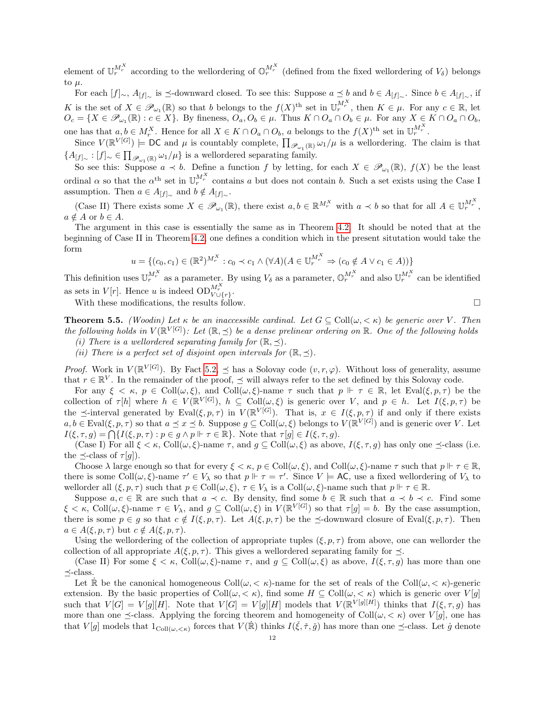element of  $\mathbb{U}_r^{M_r^X}$  according to the wellordering of  $\mathbb{O}_r^{M_r^X}$  (defined from the fixed wellordering of  $V_\delta$ ) belongs to  $\mu$ .

For each  $[f]_{\sim}$ ,  $A_{[f]_{\sim}}$  is  $\preceq$ -downward closed. To see this: Suppose  $a \preceq b$  and  $b \in A_{[f]_{\sim}}$ . Since  $b \in A_{[f]_{\sim}}$ , if K is the set of  $X \in \mathscr{P}_{\omega_1}(\mathbb{R})$  so that b belongs to the  $f(X)$ <sup>th</sup> set in  $\mathbb{U}_r^{M_r^X}$ , then  $K \in \mu$ . For any  $c \in \mathbb{R}$ , let  $O_c = \{X \in \mathscr{P}_{\omega_1}(\mathbb{R}) : c \in X\}$ . By fineness,  $O_a, O_b \in \mu$ . Thus  $K \cap O_a \cap O_b \in \mu$ . For any  $X \in K \cap O_a \cap O_b$ , one has that  $a, b \in M_r^X$ . Hence for all  $X \in K \cap O_a \cap O_b$ , a belongs to the  $f(X)$ <sup>th</sup> set in  $\mathbb{U}_r^{M_r^X}$ .

Since  $V(\mathbb{R}^{V[G]}) \models DC$  and  $\mu$  is countably complete,  $\prod_{\mathscr{P}_{\omega_1}(\mathbb{R})} \omega_1/\mu$  is a wellordering. The claim is that  ${A_{[f]_{\sim}} : [f]_{\sim} \in \prod_{\mathscr{P}_{\omega_1}(\mathbb{R})} \omega_1/\mu}$  is a wellordered separating family.

So see this: Suppose  $a \prec b$ . Define a function f by letting, for each  $X \in \mathscr{P}_{\omega_1}(\mathbb{R})$ ,  $f(X)$  be the least ordinal  $\alpha$  so that the  $\alpha^{th}$  set in  $\mathbb{U}_r^{M_r^X}$  contains a but does not contain b. Such a set exists using the Case I assumption. Then  $a \in A_{[f]_{\sim}}$  and  $b \notin A_{[f]_{\sim}}$ .

(Case II) There exists some  $X \in \mathscr{P}_{\omega_1}(\mathbb{R})$ , there exist  $a, b \in \mathbb{R}^{M_r^X}$  with  $a \prec b$  so that for all  $A \in \mathbb{U}_r^{M_r^X}$ ,  $a \notin A$  or  $b \in A$ .

The argument in this case is essentially the same as in Theorem [4.2.](#page-5-1) It should be noted that at the beginning of Case II in Theorem [4.2,](#page-5-1) one defines a condition which in the present situtation would take the form

$$
u = \{ (c_0, c_1) \in (\mathbb{R}^2)^{M_r^X} : c_0 \prec c_1 \wedge (\forall A)(A \in \mathbb{U}_r^{M_r^X} \Rightarrow (c_0 \notin A \lor c_1 \in A)) \}
$$

This definition uses  $\mathbb{U}_r^{M_r^X}$  as a parameter. By using  $V_\delta$  as a parameter,  $\mathbb{O}_r^{M_r^X}$  and also  $\mathbb{U}_r^{M_r^X}$  can be identified as sets in  $V[r]$ . Hence u is indeed  $OD_{V\cup\{r\}}^{M_r^X}$ .

With these modifications, the results follow.

<span id="page-11-0"></span>**Theorem 5.5.** (Woodin) Let  $\kappa$  be an inaccessible cardinal. Let  $G \subseteq Coll(\omega, \langle \kappa \rangle)$  be generic over V. Then the following holds in  $V(\mathbb{R}^{|V[G]})$ : Let  $(\mathbb{R}, \preceq)$  be a dense prelinear ordering on  $\mathbb{R}$ . One of the following holds

- (i) There is a wellordered separating family for  $(\mathbb{R}, \preceq)$ .
- (ii) There is a perfect set of disjoint open intervals for  $(\mathbb{R}, \preceq)$ .

*Proof.* Work in  $V(\mathbb{R}^{V[G]})$ . By Fact [5.2,](#page-9-1)  $\preceq$  has a Solovay code  $(v, r, \varphi)$ . Without loss of generality, assume that  $r \in \mathbb{R}^V$ . In the remainder of the proof,  $\preceq$  will always refer to the set defined by this Solovay code.

For any  $\xi < \kappa$ ,  $p \in Coll(\omega, \xi)$ , and  $Coll(\omega, \xi)$ -name  $\tau$  such that  $p \Vdash \tau \in \mathbb{R}$ , let Eval $(\xi, p, \tau)$  be the collection of  $\tau[h]$  where  $h \in V(\mathbb{R}^{V[G]}), h \subseteq Coll(\omega, \xi)$  is generic over V, and  $p \in h$ . Let  $I(\xi, p, \tau)$  be the  $\preceq$ -interval generated by Eval $(\xi, p, \tau)$  in  $V(\mathbb{R}^{V[G]})$ . That is,  $x \in I(\xi, p, \tau)$  if and only if there exists  $a, b \in \text{Eval}(\xi, p, \tau)$  so that  $a \preceq x \preceq b$ . Suppose  $g \subseteq \text{Coll}(\omega, \xi)$  belongs to  $V(\mathbb{R}^{V[G]})$  and is generic over V. Let  $I(\xi, \tau, g) = \bigcap \{ I(\xi, p, \tau) : p \in g \land p \Vdash \tau \in \mathbb{R} \}.$  Note that  $\tau[g] \in I(\xi, \tau, g)$ .

(Case I) For all  $\xi < \kappa$ , Coll $(\omega, \xi)$ -name  $\tau$ , and  $g \subseteq \text{Coll}(\omega, \xi)$  as above,  $I(\xi, \tau, g)$  has only one  $\preceq$ -class (i.e. the  $\preceq$ -class of  $\tau[g]$ ).

Choose  $\lambda$  large enough so that for every  $\xi < \kappa$ ,  $p \in \text{Coll}(\omega, \xi)$ , and  $\text{Coll}(\omega, \xi)$ -name  $\tau$  such that  $p \Vdash \tau \in \mathbb{R}$ , there is some Coll $(\omega, \xi)$ -name  $\tau' \in V_\lambda$  so that  $p \Vdash \tau = \tau'$ . Since  $V \models AC$ , use a fixed wellordering of  $V_\lambda$  to wellorder all  $(\xi, p, \tau)$  such that  $p \in \text{Coll}(\omega, \xi)$ ,  $\tau \in V_\lambda$  is a  $\text{Coll}(\omega, \xi)$ -name such that  $p \Vdash \tau \in \mathbb{R}$ .

Suppose  $a, c \in \mathbb{R}$  are such that  $a \prec c$ . By density, find some  $b \in \mathbb{R}$  such that  $a \prec b \prec c$ . Find some  $\xi < \kappa$ , Coll $(\omega, \xi)$ -name  $\tau \in V_\lambda$ , and  $g \subseteq \text{Coll}(\omega, \xi)$  in  $V(\mathbb{R}^{V[G]})$  so that  $\tau[g] = b$ . By the case assumption, there is some  $p \in g$  so that  $c \notin I(\xi, p, \tau)$ . Let  $A(\xi, p, \tau)$  be the  $\preceq$ -downward closure of Eval( $\xi, p, \tau$ ). Then  $a \in A(\xi, p, \tau)$  but  $c \notin A(\xi, p, \tau)$ .

Using the wellordering of the collection of appropriate tuples  $(\xi, p, \tau)$  from above, one can wellorder the collection of all appropriate  $A(\xi, p, \tau)$ . This gives a wellordered separating family for  $\preceq$ .

(Case II) For some  $\xi < \kappa$ , Coll $(\omega, \xi)$ -name  $\tau$ , and  $g \subseteq Coll(\omega, \xi)$  as above,  $I(\xi, \tau, g)$  has more than one  $\prec$ -class.

Let R be the canonical homogeneous  $\text{Coll}(\omega, \langle \kappa \rangle)$ -name for the set of reals of the  $\text{Coll}(\omega, \langle \kappa \rangle)$ -generic extension. By the basic properties of Coll $(\omega, < \kappa)$ , find some  $H \subseteq Coll(\omega, < \kappa)$  which is generic over  $V[g]$ such that  $V[G] = V[g][H]$ . Note that  $V[G] = V[g][H]$  models that  $V(\mathbb{R}^{V[g][H]})$  thinks that  $I(\xi, \tau, g)$  has more than one  $\preceq$ -class. Applying the forcing theorem and homogeneity of Coll $(\omega, < \kappa)$  over  $V[g]$ , one has that  $V[g]$  models that  $1_{\text{Coll}(\omega,<\kappa)}$  forces that  $V(\dot{\mathbb{R}})$  thinks  $I(\check{\xi},\check{\tau},\check{g})$  has more than one  $\preceq$ -class. Let  $\check{g}$  denote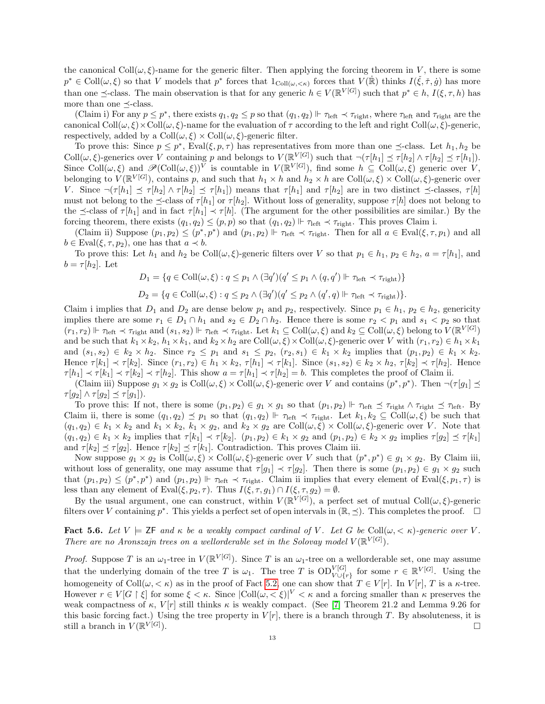the canonical  $Coll(\omega, \xi)$ -name for the generic filter. Then applying the forcing theorem in V, there is some  $p^* \in \text{Coll}(\omega, \xi)$  so that V models that  $p^*$  forces that  $1_{\text{Coll}(\omega, <\kappa)}$  forces that  $V(\dot{\mathbb{R}})$  thinks  $I(\check{\xi}, \check{\tau}, \check{g})$  has more than one  $\preceq$ -class. The main observation is that for any generic  $h \in V(\mathbb{R}^{V[G]})$  such that  $p^* \in h$ ,  $I(\xi, \tau, h)$  has more than one  $\prec$ -class.

(Claim i) For any  $p \leq p^*$ , there exists  $q_1, q_2 \leq p$  so that  $(q_1, q_2) \Vdash \tau_{\text{left}} \prec \tau_{\text{right}}$ , where  $\tau_{\text{left}}$  and  $\tau_{\text{right}}$  are the canonical  $\text{Coll}(\omega,\xi)\times\text{Coll}(\omega,\xi)$ -name for the evaluation of  $\tau$  according to the left and right  $\text{Coll}(\omega,\xi)$ -generic, respectively, added by a  $Coll(\omega, \xi) \times Coll(\omega, \xi)$ -generic filter.

To prove this: Since  $p \leq p^*$ , Eval $(\xi, p, \tau)$  has representatives from more than one  $\preceq$ -class. Let  $h_1, h_2$  be Coll $(\omega, \xi)$ -generics over V containing p and belongs to  $V(\mathbb{R}^{V[G]})$  such that  $\neg(\tau[h_1] \preceq \tau[h_2] \wedge \tau[h_2] \preceq \tau[h_1])$ . Since Coll $(\omega, \xi)$  and  $\mathscr{P}(\text{Coll}(\omega, \xi))^V$  is countable in  $V(\mathbb{R}^{V[G]})$ , find some  $h \subseteq \text{Coll}(\omega, \xi)$  generic over V, belonging to  $V(\mathbb{R}^{V[G]})$ , contains p, and such that  $h_1 \times h$  and  $h_2 \times h$  are  $Coll(\omega, \xi) \times Coll(\omega, \xi)$ -generic over V. Since  $\neg(\tau[h_1] \preceq \tau[h_2] \wedge \tau[h_2] \preceq \tau[h_1])$  means that  $\tau[h_1]$  and  $\tau[h_2]$  are in two distinct  $\preceq$ -classes,  $\tau[h]$ must not belong to the  $\preceq$ -class of  $\tau[h_1]$  or  $\tau[h_2]$ . Without loss of generality, suppose  $\tau[h]$  does not belong to the  $\preceq$ -class of  $\tau[h_1]$  and in fact  $\tau[h_1] \prec \tau[h]$ . (The argument for the other possibilities are similar.) By the forcing theorem, there exists  $(q_1, q_2) \leq (p, p)$  so that  $(q_1, q_2) \Vdash \tau_{\text{left}} \prec \tau_{\text{right}}$ . This proves Claim i.

(Claim ii) Suppose  $(p_1, p_2) \leq (p^*, p^*)$  and  $(p_1, p_2) \Vdash \tau_{\text{left}} \prec \tau_{\text{right}}$ . Then for all  $a \in \text{Eval}(\xi, \tau, p_1)$  and all  $b \in \text{Eval}(\xi, \tau, p_2)$ , one has that  $a \prec b$ .

To prove this: Let  $h_1$  and  $h_2$  be Coll $(\omega, \xi)$ -generic filters over V so that  $p_1 \in h_1$ ,  $p_2 \in h_2$ ,  $a = \tau[h_1]$ , and  $b = \tau[h_2]$ . Let

$$
D_1 = \{ q \in Coll(\omega, \xi) : q \leq p_1 \land (\exists q') (q' \leq p_1 \land (q, q') \Vdash \tau_{\text{left}} \prec \tau_{\text{right}}) \}
$$

$$
D_2 = \{q \in Coll(\omega, \xi) : q \leq p_2 \land (\exists q') (q' \leq p_2 \land (q', q) \Vdash \tau_{\text{left}} \prec \tau_{\text{right}})\}.
$$

Claim i implies that  $D_1$  and  $D_2$  are dense below  $p_1$  and  $p_2$ , respectively. Since  $p_1 \in h_1$ ,  $p_2 \in h_2$ , genericity implies there are some  $r_1 \in D_1 \cap h_1$  and  $s_2 \in D_2 \cap h_2$ . Hence there is some  $r_2 < p_1$  and  $s_1 < p_2$  so that  $(r_1, r_2) \Vdash \tau_{\text{left}} \prec \tau_{\text{right}}$  and  $(s_1, s_2) \Vdash \tau_{\text{left}} \prec \tau_{\text{right}}$ . Let  $k_1 \subseteq \text{Coll}(\omega, \xi)$  and  $k_2 \subseteq \text{Coll}(\omega, \xi)$  belong to  $V(\mathbb{R}^{V[G]})$ and be such that  $k_1 \times k_2$ ,  $h_1 \times k_1$ , and  $k_2 \times k_2$  are Coll $(\omega, \xi) \times \text{Coll}(\omega, \xi)$ -generic over V with  $(r_1, r_2) \in h_1 \times k_1$ and  $(s_1, s_2) \in k_2 \times h_2$ . Since  $r_2 \leq p_1$  and  $s_1 \leq p_2$ ,  $(r_2, s_1) \in k_1 \times k_2$  implies that  $(p_1, p_2) \in k_1 \times k_2$ . Hence  $\tau[k_1] \prec \tau[k_2]$ . Since  $(r_1, r_2) \in h_1 \times k_2$ ,  $\tau[h_1] \prec \tau[k_1]$ . Since  $(s_1, s_2) \in k_2 \times h_2$ ,  $\tau[k_2] \prec \tau[h_2]$ . Hence  $\tau[h_1] \prec \tau[k_1] \prec \tau[k_2] \prec \tau[h_2]$ . This show  $a = \tau[h_1] \prec \tau[h_2] = b$ . This completes the proof of Claim ii.

(Claim iii) Suppose  $g_1 \times g_2$  is  $Coll(\omega, \xi) \times Coll(\omega, \xi)$ -generic over V and contains  $(p^*, p^*)$ . Then  $\neg(\tau[g_1] \preceq \tau[g_2])$  $\tau[g_2] \wedge \tau[g_2] \preceq \tau[g_1]).$ 

To prove this: If not, there is some  $(p_1, p_2) \in g_1 \times g_1$  so that  $(p_1, p_2) \Vdash \tau_{\text{left}} \preceq \tau_{\text{right}} \wedge \tau_{\text{right}} \preceq \tau_{\text{left}}$ . By Claim ii, there is some  $(q_1, q_2) \preceq p_1$  so that  $(q_1, q_2) \Vdash \tau_{\text{left}} \prec \tau_{\text{right}}$ . Let  $k_1, k_2 \subseteq \text{Coll}(\omega, \xi)$  be such that  $(q_1, q_2) \in k_1 \times k_2$  and  $k_1 \times k_2$ ,  $k_1 \times g_2$ , and  $k_2 \times g_2$  are Coll $(\omega, \overline{\xi}) \times \text{Coll}(\omega, \overline{\xi})$ -generic over V. Note that  $(q_1, q_2) \in k_1 \times k_2$  implies that  $\tau[k_1] \prec \tau[k_2]$ .  $(p_1, p_2) \in k_1 \times g_2$  and  $(p_1, p_2) \in k_2 \times g_2$  implies  $\tau[g_2] \preceq \tau[k_1]$ and  $\tau[k_2] \preceq \tau[g_2]$ . Hence  $\tau[k_2] \preceq \tau[k_1]$ . Contradiction. This proves Claim iii.

Now suppose  $g_1 \times g_2$  is  $Coll(\omega, \xi) \times Coll(\omega, \xi)$ -generic over V such that  $(p^*, p^*) \in g_1 \times g_2$ . By Claim iii, without loss of generality, one may assume that  $\tau[g_1] \prec \tau[g_2]$ . Then there is some  $(p_1, p_2) \in g_1 \times g_2$  such that  $(p_1, p_2) \leq (p^*, p^*)$  and  $(p_1, p_2) \Vdash \tau_{\text{left}} \prec \tau_{\text{right}}$ . Claim ii implies that every element of Eval $(\xi, p_1, \tau)$  is less than any element of Eval $(\xi, p_2, \tau)$ . Thus  $I(\xi, \tau, g_1) \cap I(\xi, \tau, g_2) = \emptyset$ .

By the usual argument, one can construct, within  $V(\mathbb{R}^{V[G]})$ , a perfect set of mutual Coll $(\omega,\xi)$ -generic filters over V containing  $p^*$ . This yields a perfect set of open intervals in  $(\mathbb{R}, \preceq)$ . This completes the proof.  $\square$ 

<span id="page-12-0"></span>**Fact 5.6.** Let  $V \models \mathsf{ZF}$  and  $\kappa$  be a weakly compact cardinal of V. Let G be Coll $(\omega, \langle \kappa \rangle)$ -generic over V. There are no Aronszajn trees on a wellorderable set in the Solovay model  $V(\mathbb{R}^{V[G]})$ .

*Proof.* Suppose T is an  $\omega_1$ -tree in  $V(\mathbb{R}^{V[G]})$ . Since T is an  $\omega_1$ -tree on a wellorderable set, one may assume that the underlying domain of the tree T is  $\omega_1$ . The tree T is  $OD_{V\cup\{r\}}^{V[G]}$  for some  $r \in \mathbb{R}^{V[G]}$ . Using the homogeneity of Coll $(\omega, < \kappa)$  as in the proof of Fact [5.2,](#page-9-1) one can show that  $T \in V[r]$ . In  $V[r]$ , T is a  $\kappa$ -tree. However  $r \in V[G \restriction \xi]$  for some  $\xi < \kappa$ . Since  $|\text{Coll}(\omega, \langle \xi)|^V < \kappa$  and a forcing smaller than  $\kappa$  preserves the weak compactness of  $\kappa$ ,  $V[r]$  still thinks  $\kappa$  is weakly compact. (See [\[7\]](#page-14-11) Theorem 21.2 and Lemma 9.26 for this basic forcing fact.) Using the tree property in  $V[r]$ , there is a branch through T. By absoluteness, it is still a branch in  $V(\mathbb{R}^{V[G]}$ ).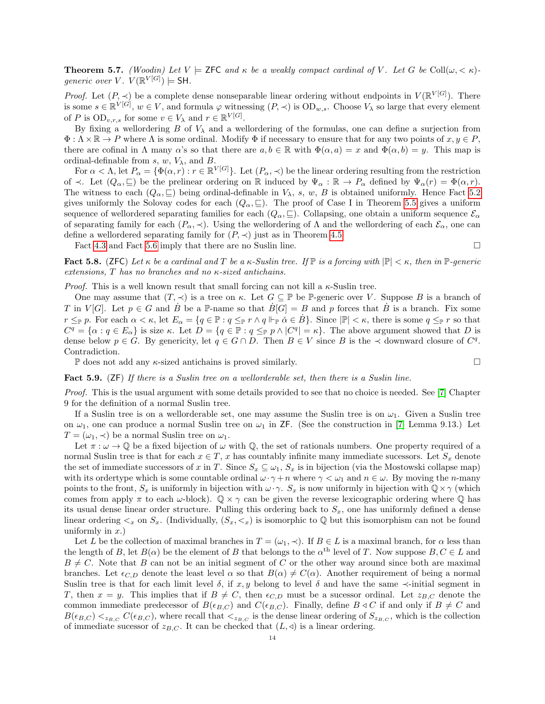<span id="page-13-0"></span>**Theorem 5.7.** (Woodin) Let  $V \models$  ZFC and  $\kappa$  be a weakly compact cardinal of V. Let G be Coll $(\omega, \kappa)$ . generic over V.  $V(\mathbb{R}^{V[G]}) \models$  SH.

*Proof.* Let  $(P, \prec)$  be a complete dense nonseparable linear ordering without endpoints in  $V(\mathbb{R}^{V[G]})$ . There is some  $s \in \mathbb{R}^{V[G]}$ ,  $w \in V$ , and formula  $\varphi$  witnessing  $(P, \prec)$  is  $OD_{w,s}$ . Choose  $V_\lambda$  so large that every element of P is  $OD_{v,r,s}$  for some  $v \in V_\lambda$  and  $r \in \mathbb{R}^{V[G]}$ .

By fixing a wellordering B of  $V_{\lambda}$  and a wellordering of the formulas, one can define a surjection from  $\Phi: \Lambda \times \mathbb{R} \to P$  where  $\Lambda$  is some ordinal. Modify  $\Phi$  if necessary to ensure that for any two points of  $x, y \in P$ , there are cofinal in  $\Lambda$  many  $\alpha$ 's so that there are  $a, b \in \mathbb{R}$  with  $\Phi(\alpha, a) = x$  and  $\Phi(\alpha, b) = y$ . This map is ordinal-definable from s,  $w$ ,  $V_{\lambda}$ , and B.

For  $\alpha < \Lambda$ , let  $P_{\alpha} = {\Phi(\alpha, r) : r \in \mathbb{R}^{V[G]}}$ . Let  $(P_{\alpha}, \prec)$  be the linear ordering resulting from the restriction of  $\prec$ . Let  $(Q_\alpha, \sqsubseteq)$  be the prelinear ordering on R induced by  $\Psi_\alpha : \mathbb{R} \to P_\alpha$  defined by  $\Psi_\alpha(r) = \Phi(\alpha, r)$ . The witness to each  $(Q_\alpha, \subseteq)$  being ordinal-definable in  $V_\lambda$ , s, w, B is obtained uniformly. Hence Fact [5.2](#page-9-1) gives uniformly the Solovay codes for each  $(Q_{\alpha}, \subseteq)$ . The proof of Case I in Theorem [5.5](#page-11-0) gives a uniform sequence of wellordered separating families for each  $(Q_\alpha, \subseteq)$ . Collapsing, one obtain a uniform sequence  $\mathcal{E}_\alpha$ of separating family for each  $(P_{\alpha}, \prec)$ . Using the wellordering of  $\Lambda$  and the wellordering of each  $\mathcal{E}_{\alpha}$ , one can define a wellordered separating family for  $(P, \prec)$  just as in Theorem [4.5.](#page-7-1)

Fact [4.3](#page-7-2) and Fact [5.6](#page-12-0) imply that there are no Suslin line.

<span id="page-13-1"></span>**Fact 5.8.** (ZFC) Let  $\kappa$  be a cardinal and T be a  $\kappa$ -Suslin tree. If  $\mathbb{P}$  is a forcing with  $|\mathbb{P}| < \kappa$ , then in  $\mathbb{P}$ -generic extensions, T has no branches and no κ-sized antichains.

*Proof.* This is a well known result that small forcing can not kill a  $\kappa$ -Suslin tree.

One may assume that  $(T, \prec)$  is a tree on  $\kappa$ . Let  $G \subseteq \mathbb{P}$  be  $\mathbb{P}$ -generic over V. Suppose B is a branch of T in  $V[G]$ . Let  $p \in G$  and  $\dot{B}$  be a P-name so that  $\dot{B}[G] = B$  and p forces that  $\dot{B}$  is a branch. Fix some  $r \leq_{\mathbb{P}} p$ . For each  $\alpha < \kappa$ , let  $E_{\alpha} = \{q \in \mathbb{P} : q \leq_{\mathbb{P}} r \wedge q \Vdash_{\mathbb{P}} \check{\alpha} \in B\}$ . Since  $|\mathbb{P}| < \kappa$ , there is some  $q \leq_{\mathbb{P}} r$  so that  $C^q = \{ \alpha : q \in E_\alpha \}$  is size  $\kappa$ . Let  $D = \{ q \in \mathbb{P} : q \leq_{\mathbb{P}} p \wedge |C^q| = \kappa \}.$  The above argument showed that D is dense below  $p \in G$ . By genericity, let  $q \in G \cap D$ . Then  $B \in V$  since B is the  $\prec$  downward closure of  $C^q$ . Contradiction.

 $\mathbb P$  does not add any *κ*-sized antichains is proved similarly.  $\Box$ 

<span id="page-13-2"></span>Fact 5.9. (ZF) If there is a Suslin tree on a wellorderable set, then there is a Suslin line.

Proof. This is the usual argument with some details provided to see that no choice is needed. See [\[7\]](#page-14-11) Chapter 9 for the definition of a normal Suslin tree.

If a Suslin tree is on a wellorderable set, one may assume the Suslin tree is on  $\omega_1$ . Given a Suslin tree on  $\omega_1$ , one can produce a normal Suslin tree on  $\omega_1$  in ZF. (See the construction in [\[7\]](#page-14-11) Lemma 9.13.) Let  $T = (\omega_1, \prec)$  be a normal Suslin tree on  $\omega_1$ .

Let  $\pi : \omega \to \mathbb{Q}$  be a fixed bijection of  $\omega$  with  $\mathbb{Q}$ , the set of rationals numbers. One property required of a normal Suslin tree is that for each  $x \in T$ , x has countably infinite many immediate sucessors. Let  $S_x$  denote the set of immediate successors of x in T. Since  $S_x \subseteq \omega_1$ ,  $S_x$  is in bijection (via the Mostowski collapse map) with its ordertype which is some countable ordinal  $\omega \cdot \gamma + n$  where  $\gamma < \omega_1$  and  $n \in \omega$ . By moving the *n*-many points to the front,  $S_x$  is uniformly in bijection with  $\omega \cdot \gamma$ .  $S_x$  is now uniformly in bijection with  $\mathbb{Q} \times \gamma$  (which comes from apply  $\pi$  to each  $\omega$ -block).  $\mathbb{Q} \times \gamma$  can be given the reverse lexicographic ordering where  $\mathbb{Q}$  has its usual dense linear order structure. Pulling this ordering back to  $S_x$ , one has uniformly defined a dense linear ordering  $\leq_x$  on  $S_x$ . (Individually,  $(S_x, \leq_x)$  is isomorphic to Q but this isomorphism can not be found uniformly in  $x$ .)

Let L be the collection of maximal branches in  $T = (\omega_1, \prec)$ . If  $B \in L$  is a maximal branch, for  $\alpha$  less than the length of B, let  $B(\alpha)$  be the element of B that belongs to the  $\alpha^{\text{th}}$  level of T. Now suppose  $B, C \in L$  and  $B \neq C$ . Note that B can not be an initial segment of C or the other way around since both are maximal branches. Let  $\epsilon_{C,D}$  denote the least level  $\alpha$  so that  $B(\alpha) \neq C(\alpha)$ . Another requirement of being a normal Suslin tree is that for each limit level  $\delta$ , if x, y belong to level  $\delta$  and have the same  $\prec$ -initial segment in T, then  $x = y$ . This implies that if  $B \neq C$ , then  $\epsilon_{C,D}$  must be a sucessor ordinal. Let  $z_{B,C}$  denote the common immediate predecessor of  $B(\epsilon_{B,C})$  and  $C(\epsilon_{B,C})$ . Finally, define  $B \triangleleft C$  if and only if  $B \neq C$  and  $B(\epsilon_{B,C}) \leq_{B,C} C(\epsilon_{B,C})$ , where recall that  $\leq_{B,C}$  is the dense linear ordering of  $S_{z_{B,C}}$ , which is the collection of immediate sucessor of  $z_{B,C}$ . It can be checked that  $(L, \triangleleft)$  is a linear ordering.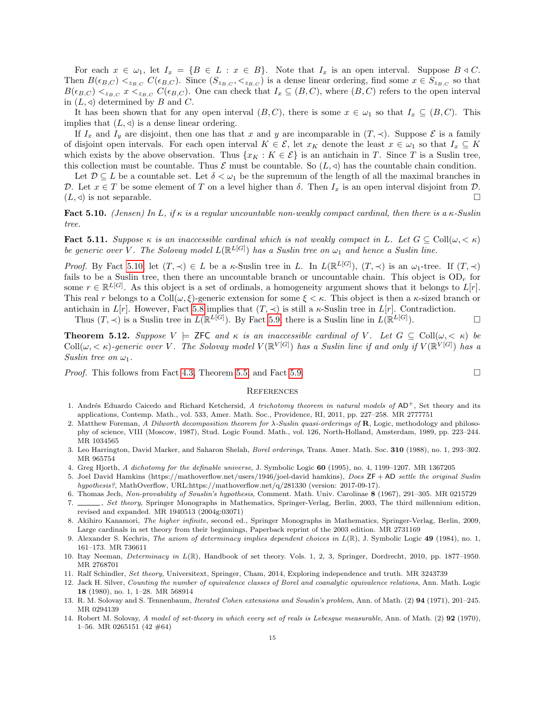For each  $x \in \omega_1$ , let  $I_x = \{B \in L : x \in B\}$ . Note that  $I_x$  is an open interval. Suppose  $B \triangleleft C$ . Then  $B(\epsilon_{B,C}) <_{z_{B,C}} C(\epsilon_{B,C})$ . Since  $(S_{z_{B,C}},<_{z_{B,C}})$  is a dense linear ordering, find some  $x \in S_{z_{B,C}}$  so that  $B(\epsilon_{B,C}) \leq_{z_{B,C}} x \leq_{z_{B,C}} C(\epsilon_{B,C})$ . One can check that  $I_x \subseteq (B,C)$ , where  $(B,C)$  refers to the open interval in  $(L, \triangleleft)$  determined by B and C.

It has been shown that for any open interval  $(B, C)$ , there is some  $x \in \omega_1$  so that  $I_x \subseteq (B, C)$ . This implies that  $(L, \triangleleft)$  is a dense linear ordering.

If  $I_x$  and  $I_y$  are disjoint, then one has that x and y are incomparable in  $(T, \prec)$ . Suppose E is a family of disjoint open intervals. For each open interval  $K \in \mathcal{E}$ , let  $x_K$  denote the least  $x \in \omega_1$  so that  $I_x \subseteq K$ which exists by the above observation. Thus  $\{x_K : K \in \mathcal{E}\}$  is an antichain in T. Since T is a Suslin tree, this collection must be countable. Thus  $\mathcal E$  must be countable. So  $(L, \triangleleft)$  has the countable chain condition.

Let  $\mathcal{D} \subseteq L$  be a countable set. Let  $\delta < \omega_1$  be the supremum of the length of all the maximal branches in D. Let  $x \in T$  be some element of T on a level higher than  $\delta$ . Then  $I_x$  is an open interval disjoint from D.  $(L, \triangleleft)$  is not separable.

<span id="page-14-15"></span>Fact 5.10. (Jensen) In L, if  $\kappa$  is a regular uncountable non-weakly compact cardinal, then there is a  $\kappa$ -Suslin tree.

Fact 5.11. Suppose  $\kappa$  is an inaccessible cardinal which is not weakly compact in L. Let  $G \subseteq \text{Coll}(\omega, < \kappa)$ be generic over V. The Solovay model  $L(\mathbb{R}^{L[G]})$  has a Suslin tree on  $\omega_1$  and hence a Suslin line.

Proof. By Fact [5.10,](#page-14-15) let  $(T, \prec) \in L$  be a  $\kappa$ -Suslin tree in L. In  $L(\mathbb{R}^{L[G]}), (T, \prec)$  is an  $\omega_1$ -tree. If  $(T, \prec)$ fails to be a Suslin tree, then there an uncountable branch or uncountable chain. This object is  $OD<sub>r</sub>$  for some  $r \in \mathbb{R}^{L[G]}$ . As this object is a set of ordinals, a homogeneity argument shows that it belongs to  $L[r]$ . This real r belongs to a  $\text{Coll}(\omega, \xi)$ -generic extension for some  $\xi < \kappa$ . This object is then a  $\kappa$ -sized branch or antichain in  $L[r]$ . However, Fact [5.8](#page-13-1) implies that  $(T, \prec)$  is still a  $\kappa$ -Suslin tree in  $L[r]$ . Contradiction.

Thus  $(T, \prec)$  is a Suslin tree in  $L(\mathbb{R}^{L[G]})$ . By Fact [5.9,](#page-13-2) there is a Suslin line in  $L(\mathbb{R}^{L[G]})$  $\Box$ 

<span id="page-14-10"></span>**Theorem 5.12.** Suppose  $V \models$  ZFC and  $\kappa$  is an inaccessible cardinal of V. Let  $G \subseteq Coll(\omega, \langle \kappa \rangle)$  be Coll $(\omega, <\kappa)$ -generic over V. The Solovay model  $V(\mathbb{R}^{V[G]})$  has a Suslin line if and only if  $V(\mathbb{R}^{V[G]})$  has a Suslin tree on  $\omega_1$ .

*Proof.* This follows from Fact [4.3,](#page-7-2) Theorem [5.5,](#page-11-0) and Fact [5.9.](#page-13-2)

#### **REFERENCES**

- <span id="page-14-7"></span>1. Andrés Eduardo Caicedo and Richard Ketchersid, A trichotomy theorem in natural models of  $AD^+$ , Set theory and its applications, Contemp. Math., vol. 533, Amer. Math. Soc., Providence, RI, 2011, pp. 227–258. MR 2777751
- <span id="page-14-1"></span>2. Matthew Foreman, A Dilworth decomposition theorem for  $\lambda$ -Suslin quasi-orderings of **R**, Logic, methodology and philosophy of science, VIII (Moscow, 1987), Stud. Logic Found. Math., vol. 126, North-Holland, Amsterdam, 1989, pp. 223–244. MR 1034565
- <span id="page-14-0"></span>3. Leo Harrington, David Marker, and Saharon Shelah, Borel orderings, Trans. Amer. Math. Soc. 310 (1988), no. 1, 293–302. MR 965754
- <span id="page-14-9"></span>4. Greg Hjorth, A dichotomy for the definable universe, J. Symbolic Logic 60 (1995), no. 4, 1199–1207. MR 1367205
- <span id="page-14-2"></span>5. Joel David Hamkins (https://mathoverflow.net/users/1946/joel-david hamkins), Does  $ZF + AD$  settle the original Suslin hypothesis?, MathOverflow, URL:https://mathoverflow.net/q/281330 (version: 2017-09-17).
- <span id="page-14-3"></span>6. Thomas Jech, Non-provability of Souslin's hypothesis, Comment. Math. Univ. Carolinae 8 (1967), 291–305. MR 0215729
- <span id="page-14-11"></span>7. , Set theory, Springer Monographs in Mathematics, Springer-Verlag, Berlin, 2003, The third millennium edition, revised and expanded. MR 1940513 (2004g:03071)
- <span id="page-14-14"></span>8. Akihiro Kanamori, The higher infinite, second ed., Springer Monographs in Mathematics, Springer-Verlag, Berlin, 2009, Large cardinals in set theory from their beginnings, Paperback reprint of the 2003 edition. MR 2731169
- <span id="page-14-6"></span>9. Alexander S. Kechris, The axiom of determinacy implies dependent choices in  $L(\mathbb{R})$ , J. Symbolic Logic 49 (1984), no. 1, 161–173. MR 736611
- <span id="page-14-5"></span>10. Itay Neeman, *Determinacy in L*(R), Handbook of set theory. Vols. 1, 2, 3, Springer, Dordrecht, 2010, pp. 1877–1950. MR 2768701
- <span id="page-14-13"></span>11. Ralf Schindler, Set theory, Universitext, Springer, Cham, 2014, Exploring independence and truth. MR 3243739
- <span id="page-14-8"></span>12. Jack H. Silver, Counting the number of equivalence classes of Borel and coanalytic equivalence relations, Ann. Math. Logic 18 (1980), no. 1, 1–28. MR 568914
- <span id="page-14-4"></span>13. R. M. Solovay and S. Tennenbaum, *Iterated Cohen extensions and Souslin's problem*, Ann. of Math. (2) 94 (1971), 201-245. MR 0294139
- <span id="page-14-12"></span>14. Robert M. Solovay, A model of set-theory in which every set of reals is Lebesgue measurable, Ann. of Math. (2) 92 (1970), 1–56. MR 0265151 (42 #64)